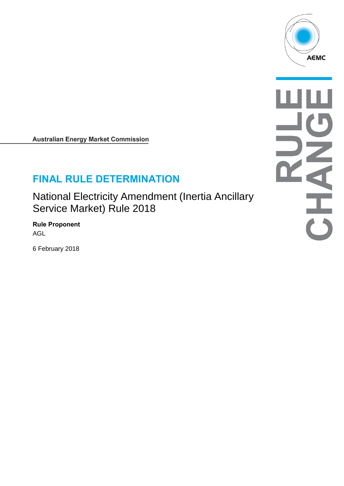

**Australian Energy Market Commission** 

# **FINAL RULE DETERMINATION**

National Electricity Amendment (Inertia Ancillary Service Market) Rule 2018

**Rule Proponent** AGL

6 February 2018

古り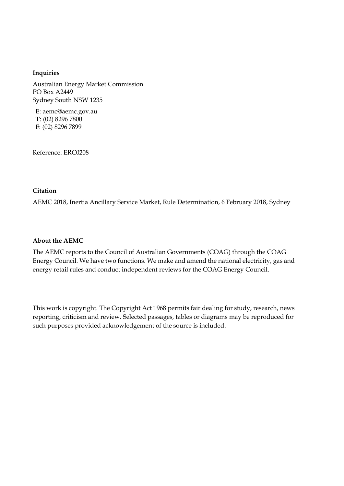#### **Inquiries**

Australian Energy Market Commission PO Box A2449 Sydney South NSW 1235

**E**: aemc@aemc.gov.au **T**: (02) 8296 7800 **F**: (02) 8296 7899

Reference: ERC0208

#### **Citation**

AEMC 2018, Inertia Ancillary Service Market, Rule Determination, 6 February 2018, Sydney

#### **About the AEMC**

The AEMC reports to the Council of Australian Governments (COAG) through the COAG Energy Council. We have two functions. We make and amend the national electricity, gas and energy retail rules and conduct independent reviews for the COAG Energy Council.

This work is copyright. The Copyright Act 1968 permits fair dealing for study, research, news reporting, criticism and review. Selected passages, tables or diagrams may be reproduced for such purposes provided acknowledgement of the source is included.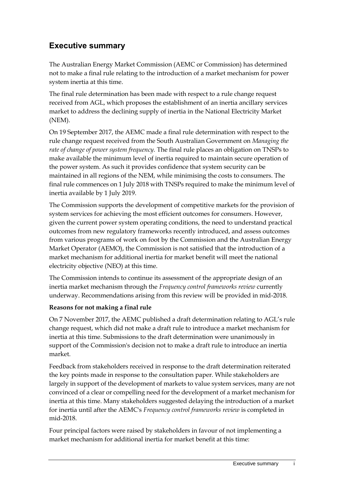# **Executive summary**

The Australian Energy Market Commission (AEMC or Commission) has determined not to make a final rule relating to the introduction of a market mechanism for power system inertia at this time.

The final rule determination has been made with respect to a rule change request received from AGL, which proposes the establishment of an inertia ancillary services market to address the declining supply of inertia in the National Electricity Market (NEM).

On 19 September 2017, the AEMC made a final rule determination with respect to the rule change request received from the South Australian Government on *Managing the rate of change of power system frequency.* The final rule places an obligation on TNSPs to make available the minimum level of inertia required to maintain secure operation of the power system. As such it provides confidence that system security can be maintained in all regions of the NEM, while minimising the costs to consumers. The final rule commences on 1 July 2018 with TNSPs required to make the minimum level of inertia available by 1 July 2019.

The Commission supports the development of competitive markets for the provision of system services for achieving the most efficient outcomes for consumers. However, given the current power system operating conditions, the need to understand practical outcomes from new regulatory frameworks recently introduced, and assess outcomes from various programs of work on foot by the Commission and the Australian Energy Market Operator (AEMO), the Commission is not satisfied that the introduction of a market mechanism for additional inertia for market benefit will meet the national electricity objective (NEO) at this time.

The Commission intends to continue its assessment of the appropriate design of an inertia market mechanism through the *Frequency control frameworks review* currently underway. Recommendations arising from this review will be provided in mid-2018.

### **Reasons for not making a final rule**

On 7 November 2017, the AEMC published a draft determination relating to AGL's rule change request, which did not make a draft rule to introduce a market mechanism for inertia at this time. Submissions to the draft determination were unanimously in support of the Commission's decision not to make a draft rule to introduce an inertia market.

Feedback from stakeholders received in response to the draft determination reiterated the key points made in response to the consultation paper. While stakeholders are largely in support of the development of markets to value system services, many are not convinced of a clear or compelling need for the development of a market mechanism for inertia at this time. Many stakeholders suggested delaying the introduction of a market for inertia until after the AEMC's *Frequency control frameworks review* is completed in mid-2018.

Four principal factors were raised by stakeholders in favour of not implementing a market mechanism for additional inertia for market benefit at this time: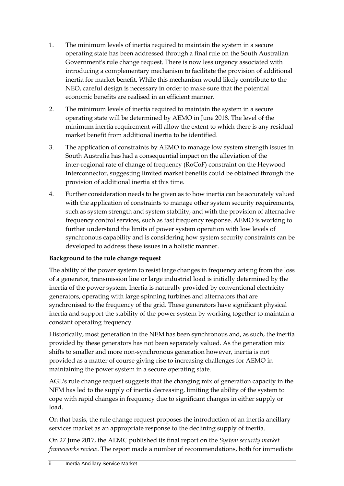- 1. The minimum levels of inertia required to maintain the system in a secure operating state has been addressed through a final rule on the South Australian Government's rule change request. There is now less urgency associated with introducing a complementary mechanism to facilitate the provision of additional inertia for market benefit. While this mechanism would likely contribute to the NEO, careful design is necessary in order to make sure that the potential economic benefits are realised in an efficient manner.
- 2. The minimum levels of inertia required to maintain the system in a secure operating state will be determined by AEMO in June 2018. The level of the minimum inertia requirement will allow the extent to which there is any residual market benefit from additional inertia to be identified.
- 3. The application of constraints by AEMO to manage low system strength issues in South Australia has had a consequential impact on the alleviation of the inter-regional rate of change of frequency (RoCoF) constraint on the Heywood Interconnector, suggesting limited market benefits could be obtained through the provision of additional inertia at this time.
- 4. Further consideration needs to be given as to how inertia can be accurately valued with the application of constraints to manage other system security requirements, such as system strength and system stability, and with the provision of alternative frequency control services, such as fast frequency response. AEMO is working to further understand the limits of power system operation with low levels of synchronous capability and is considering how system security constraints can be developed to address these issues in a holistic manner.

### **Background to the rule change request**

The ability of the power system to resist large changes in frequency arising from the loss of a generator, transmission line or large industrial load is initially determined by the inertia of the power system. Inertia is naturally provided by conventional electricity generators, operating with large spinning turbines and alternators that are synchronised to the frequency of the grid. These generators have significant physical inertia and support the stability of the power system by working together to maintain a constant operating frequency.

Historically, most generation in the NEM has been synchronous and, as such, the inertia provided by these generators has not been separately valued. As the generation mix shifts to smaller and more non-synchronous generation however, inertia is not provided as a matter of course giving rise to increasing challenges for AEMO in maintaining the power system in a secure operating state.

AGL's rule change request suggests that the changing mix of generation capacity in the NEM has led to the supply of inertia decreasing, limiting the ability of the system to cope with rapid changes in frequency due to significant changes in either supply or load.

On that basis, the rule change request proposes the introduction of an inertia ancillary services market as an appropriate response to the declining supply of inertia.

On 27 June 2017, the AEMC published its final report on the *System security market frameworks review*. The report made a number of recommendations, both for immediate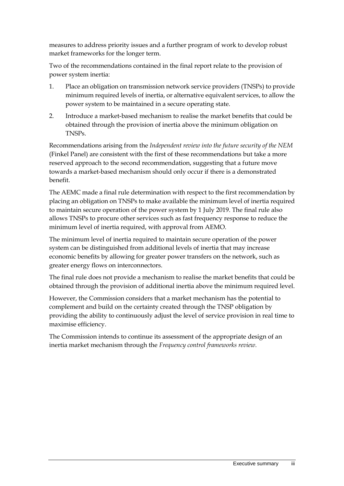measures to address priority issues and a further program of work to develop robust market frameworks for the longer term.

Two of the recommendations contained in the final report relate to the provision of power system inertia:

- 1. Place an obligation on transmission network service providers (TNSPs) to provide minimum required levels of inertia, or alternative equivalent services, to allow the power system to be maintained in a secure operating state.
- 2. Introduce a market-based mechanism to realise the market benefits that could be obtained through the provision of inertia above the minimum obligation on TNSPs.

Recommendations arising from the *Independent review into the future security of the NEM*  (Finkel Panel) are consistent with the first of these recommendations but take a more reserved approach to the second recommendation, suggesting that a future move towards a market-based mechanism should only occur if there is a demonstrated benefit.

The AEMC made a final rule determination with respect to the first recommendation by placing an obligation on TNSPs to make available the minimum level of inertia required to maintain secure operation of the power system by 1 July 2019. The final rule also allows TNSPs to procure other services such as fast frequency response to reduce the minimum level of inertia required, with approval from AEMO.

The minimum level of inertia required to maintain secure operation of the power system can be distinguished from additional levels of inertia that may increase economic benefits by allowing for greater power transfers on the network, such as greater energy flows on interconnectors.

The final rule does not provide a mechanism to realise the market benefits that could be obtained through the provision of additional inertia above the minimum required level.

However, the Commission considers that a market mechanism has the potential to complement and build on the certainty created through the TNSP obligation by providing the ability to continuously adjust the level of service provision in real time to maximise efficiency.

The Commission intends to continue its assessment of the appropriate design of an inertia market mechanism through the *Frequency control frameworks review.*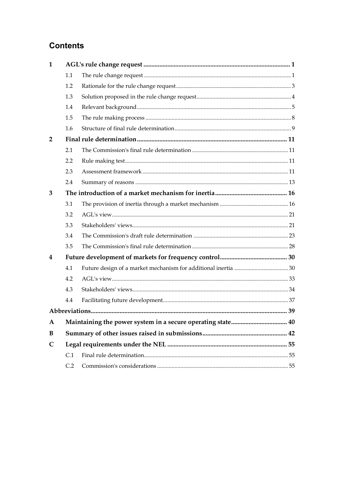# **Contents**

| $\mathbf{1}$   |     |  |
|----------------|-----|--|
|                | 1.1 |  |
|                | 1.2 |  |
|                | 1.3 |  |
|                | 1.4 |  |
|                | 1.5 |  |
|                | 1.6 |  |
| $\overline{2}$ |     |  |
|                | 2.1 |  |
|                | 2.2 |  |
|                | 2.3 |  |
|                | 2.4 |  |
| 3              |     |  |
|                | 3.1 |  |
|                | 3.2 |  |
|                | 3.3 |  |
|                | 3.4 |  |
|                | 3.5 |  |
| 4              |     |  |
|                | 4.1 |  |
|                | 4.2 |  |
|                | 4.3 |  |
|                | 4.4 |  |
|                |     |  |
| $\mathbf{A}$   |     |  |
| B              |     |  |
| $\mathsf{C}$   |     |  |
|                | C.1 |  |
|                | C.2 |  |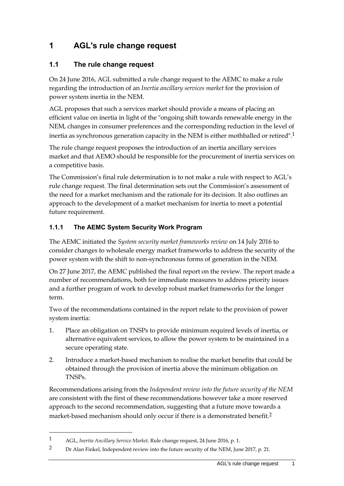# <span id="page-6-0"></span>**1 AGL's rule change request**

## <span id="page-6-1"></span>**1.1 The rule change request**

On 24 June 2016, AGL submitted a rule change request to the AEMC to make a rule regarding the introduction of an *Inertia ancillary services market* for the provision of power system inertia in the NEM.

AGL proposes that such a services market should provide a means of placing an efficient value on inertia in light of the "ongoing shift towards renewable energy in the NEM, changes in consumer preferences and the corresponding reduction in the level of inertia as synchronous generation capacity in the NEM is either mothballed or retired".1

The rule change request proposes the introduction of an inertia ancillary services market and that AEMO should be responsible for the procurement of inertia services on a competitive basis.

The Commission's final rule determination is to not make a rule with respect to AGL's rule change request. The final determination sets out the Commission's assessment of the need for a market mechanism and the rationale for its decision. It also outlines an approach to the development of a market mechanism for inertia to meet a potential future requirement.

## **1.1.1 The AEMC System Security Work Program**

The AEMC initiated the *System security market frameworks review* on 14 July 2016 to consider changes to wholesale energy market frameworks to address the security of the power system with the shift to non-synchronous forms of generation in the NEM.

On 27 June 2017, the AEMC published the final report on the review. The report made a number of recommendations, both for immediate measures to address priority issues and a further program of work to develop robust market frameworks for the longer term.

Two of the recommendations contained in the report relate to the provision of power system inertia:

- 1. Place an obligation on TNSPs to provide minimum required levels of inertia, or alternative equivalent services, to allow the power system to be maintained in a secure operating state.
- 2. Introduce a market-based mechanism to realise the market benefits that could be obtained through the provision of inertia above the minimum obligation on TNSPs.

Recommendations arising from the *Independent review into the future security of the NEM* are consistent with the first of these recommendations however take a more reserved approach to the second recommendation, suggesting that a future move towards a market-based mechanism should only occur if there is a demonstrated benefit.<sup>2</sup>

<sup>1</sup> AGL, *Inertia Ancillary Service Market,* Rule change request, 24 June 2016, p. 1.

<sup>2</sup> Dr Alan Finkel, Independent review into the future security of the NEM, June 2017, p. 21.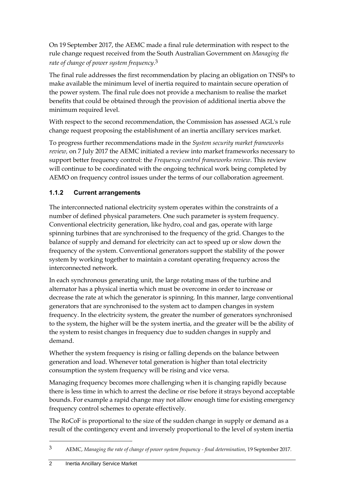On 19 September 2017, the AEMC made a final rule determination with respect to the rule change request received from the South Australian Government on *Managing the rate of change of power system frequency*. 3

The final rule addresses the first recommendation by placing an obligation on TNSPs to make available the minimum level of inertia required to maintain secure operation of the power system. The final rule does not provide a mechanism to realise the market benefits that could be obtained through the provision of additional inertia above the minimum required level.

With respect to the second recommendation, the Commission has assessed AGL's rule change request proposing the establishment of an inertia ancillary services market.

To progress further recommendations made in the *System security market frameworks review,* on 7 July 2017 the AEMC initiated a review into market frameworks necessary to support better frequency control: the *Frequency control frameworks review*. This review will continue to be coordinated with the ongoing technical work being completed by AEMO on frequency control issues under the terms of our collaboration agreement.

## **1.1.2 Current arrangements**

The interconnected national electricity system operates within the constraints of a number of defined physical parameters. One such parameter is system frequency. Conventional electricity generation, like hydro, coal and gas, operate with large spinning turbines that are synchronised to the frequency of the grid. Changes to the balance of supply and demand for electricity can act to speed up or slow down the frequency of the system. Conventional generators support the stability of the power system by working together to maintain a constant operating frequency across the interconnected network.

In each synchronous generating unit, the large rotating mass of the turbine and alternator has a physical inertia which must be overcome in order to increase or decrease the rate at which the generator is spinning. In this manner, large conventional generators that are synchronised to the system act to dampen changes in system frequency. In the electricity system, the greater the number of generators synchronised to the system, the higher will be the system inertia, and the greater will be the ability of the system to resist changes in frequency due to sudden changes in supply and demand.

Whether the system frequency is rising or falling depends on the balance between generation and load. Whenever total generation is higher than total electricity consumption the system frequency will be rising and vice versa.

Managing frequency becomes more challenging when it is changing rapidly because there is less time in which to arrest the decline or rise before it strays beyond acceptable bounds. For example a rapid change may not allow enough time for existing emergency frequency control schemes to operate effectively.

The RoCoF is proportional to the size of the sudden change in supply or demand as a result of the contingency event and inversely proportional to the level of system inertia

<sup>3</sup> AEMC, *Managing the rate of change of power system frequency - final determination*, 19 September 2017.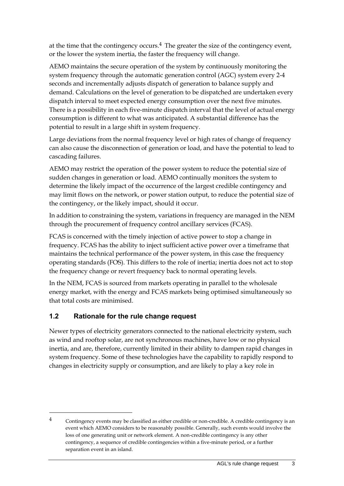at the time that the contingency occurs.<sup>4</sup> The greater the size of the contingency event, or the lower the system inertia, the faster the frequency will change.

AEMO maintains the secure operation of the system by continuously monitoring the system frequency through the automatic generation control (AGC) system every 2-4 seconds and incrementally adjusts dispatch of generation to balance supply and demand. Calculations on the level of generation to be dispatched are undertaken every dispatch interval to meet expected energy consumption over the next five minutes. There is a possibility in each five-minute dispatch interval that the level of actual energy consumption is different to what was anticipated. A substantial difference has the potential to result in a large shift in system frequency.

Large deviations from the normal frequency level or high rates of change of frequency can also cause the disconnection of generation or load, and have the potential to lead to cascading failures.

AEMO may restrict the operation of the power system to reduce the potential size of sudden changes in generation or load. AEMO continually monitors the system to determine the likely impact of the occurrence of the largest credible contingency and may limit flows on the network, or power station output, to reduce the potential size of the contingency, or the likely impact, should it occur.

In addition to constraining the system, variations in frequency are managed in the NEM through the procurement of frequency control ancillary services (FCAS).

FCAS is concerned with the timely injection of active power to stop a change in frequency. FCAS has the ability to inject sufficient active power over a timeframe that maintains the technical performance of the power system, in this case the frequency operating standards (FOS). This differs to the role of inertia; inertia does not act to stop the frequency change or revert frequency back to normal operating levels.

In the NEM, FCAS is sourced from markets operating in parallel to the wholesale energy market, with the energy and FCAS markets being optimised simultaneously so that total costs are minimised.

## <span id="page-8-0"></span>**1.2 Rationale for the rule change request**

<u>.</u>

Newer types of electricity generators connected to the national electricity system, such as wind and rooftop solar, are not synchronous machines, have low or no physical inertia, and are, therefore, currently limited in their ability to dampen rapid changes in system frequency. Some of these technologies have the capability to rapidly respond to changes in electricity supply or consumption, and are likely to play a key role in

<sup>4</sup> Contingency events may be classified as either credible or non-credible. A credible contingency is an event which AEMO considers to be reasonably possible. Generally, such events would involve the loss of one generating unit or network element. A non-credible contingency is any other contingency, a sequence of credible contingencies within a five-minute period, or a further separation event in an island.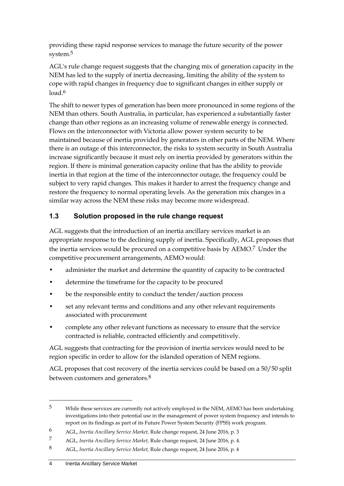providing these rapid response services to manage the future security of the power system.5

AGL's rule change request suggests that the changing mix of generation capacity in the NEM has led to the supply of inertia decreasing, limiting the ability of the system to cope with rapid changes in frequency due to significant changes in either supply or load  $6$ 

The shift to newer types of generation has been more pronounced in some regions of the NEM than others. South Australia, in particular, has experienced a substantially faster change than other regions as an increasing volume of renewable energy is connected. Flows on the interconnector with Victoria allow power system security to be maintained because of inertia provided by generators in other parts of the NEM. Where there is an outage of this interconnector, the risks to system security in South Australia increase significantly because it must rely on inertia provided by generators within the region. If there is minimal generation capacity online that has the ability to provide inertia in that region at the time of the interconnector outage, the frequency could be subject to very rapid changes. This makes it harder to arrest the frequency change and restore the frequency to normal operating levels. As the generation mix changes in a similar way across the NEM these risks may become more widespread.

## <span id="page-9-0"></span>**1.3 Solution proposed in the rule change request**

AGL suggests that the introduction of an inertia ancillary services market is an appropriate response to the declining supply of inertia. Specifically, AGL proposes that the inertia services would be procured on a competitive basis by AEMO.<sup>7</sup> Under the competitive procurement arrangements, AEMO would:

- administer the market and determine the quantity of capacity to be contracted
- determine the timeframe for the capacity to be procured
- be the responsible entity to conduct the tender/auction process
- set any relevant terms and conditions and any other relevant requirements associated with procurement
- complete any other relevant functions as necessary to ensure that the service contracted is reliable, contracted efficiently and competitively.

AGL suggests that contracting for the provision of inertia services would need to be region specific in order to allow for the islanded operation of NEM regions.

AGL proposes that cost recovery of the inertia services could be based on a 50/50 split between customers and generators.<sup>8</sup>

<sup>5</sup> While these services are currently not actively employed in the NEM, AEMO has been undertaking investigations into their potential use in the management of power system frequency and intends to report on its findings as part of its Future Power System Security (FPSS) work program.

<sup>6</sup> AGL, *Inertia Ancillary Service Market,* Rule change request, 24 June 2016, p. 3

<sup>7</sup> AGL, *Inertia Ancillary Service Market,* Rule change request, 24 June 2016, p. 4.

<sup>8</sup> AGL, *Inertia Ancillary Service Market,* Rule change request, 24 June 2016, p. 4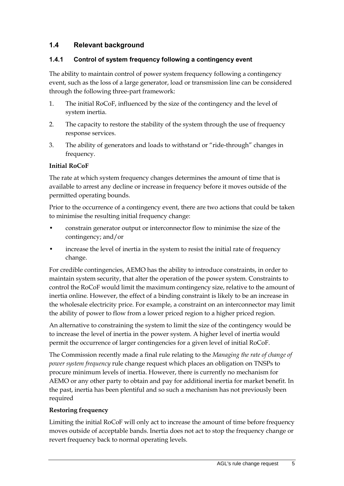## <span id="page-10-0"></span>**1.4 Relevant background**

### **1.4.1 Control of system frequency following a contingency event**

The ability to maintain control of power system frequency following a contingency event, such as the loss of a large generator, load or transmission line can be considered through the following three-part framework:

- 1. The initial RoCoF, influenced by the size of the contingency and the level of system inertia.
- 2. The capacity to restore the stability of the system through the use of frequency response services.
- 3. The ability of generators and loads to withstand or "ride-through" changes in frequency.

### **Initial RoCoF**

The rate at which system frequency changes determines the amount of time that is available to arrest any decline or increase in frequency before it moves outside of the permitted operating bounds.

Prior to the occurrence of a contingency event, there are two actions that could be taken to minimise the resulting initial frequency change:

- constrain generator output or interconnector flow to minimise the size of the contingency; and/or
- increase the level of inertia in the system to resist the initial rate of frequency change.

For credible contingencies, AEMO has the ability to introduce constraints, in order to maintain system security, that alter the operation of the power system. Constraints to control the RoCoF would limit the maximum contingency size, relative to the amount of inertia online. However, the effect of a binding constraint is likely to be an increase in the wholesale electricity price. For example, a constraint on an interconnector may limit the ability of power to flow from a lower priced region to a higher priced region.

An alternative to constraining the system to limit the size of the contingency would be to increase the level of inertia in the power system. A higher level of inertia would permit the occurrence of larger contingencies for a given level of initial RoCoF.

The Commission recently made a final rule relating to the *Managing the rate of change of power system frequency* rule change request which places an obligation on TNSPs to procure minimum levels of inertia. However, there is currently no mechanism for AEMO or any other party to obtain and pay for additional inertia for market benefit. In the past, inertia has been plentiful and so such a mechanism has not previously been required

### **Restoring frequency**

Limiting the initial RoCoF will only act to increase the amount of time before frequency moves outside of acceptable bands. Inertia does not act to stop the frequency change or revert frequency back to normal operating levels.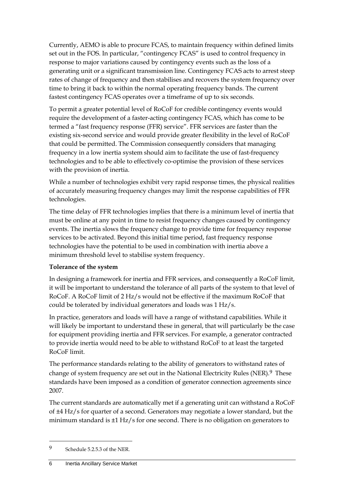Currently, AEMO is able to procure FCAS, to maintain frequency within defined limits set out in the FOS. In particular, "contingency FCAS" is used to control frequency in response to major variations caused by contingency events such as the loss of a generating unit or a significant transmission line. Contingency FCAS acts to arrest steep rates of change of frequency and then stabilises and recovers the system frequency over time to bring it back to within the normal operating frequency bands. The current fastest contingency FCAS operates over a timeframe of up to six seconds.

To permit a greater potential level of RoCoF for credible contingency events would require the development of a faster-acting contingency FCAS, which has come to be termed a "fast frequency response (FFR) service". FFR services are faster than the existing six-second service and would provide greater flexibility in the level of RoCoF that could be permitted. The Commission consequently considers that managing frequency in a low inertia system should aim to facilitate the use of fast-frequency technologies and to be able to effectively co-optimise the provision of these services with the provision of inertia.

While a number of technologies exhibit very rapid response times, the physical realities of accurately measuring frequency changes may limit the response capabilities of FFR technologies.

The time delay of FFR technologies implies that there is a minimum level of inertia that must be online at any point in time to resist frequency changes caused by contingency events. The inertia slows the frequency change to provide time for frequency response services to be activated. Beyond this initial time period, fast frequency response technologies have the potential to be used in combination with inertia above a minimum threshold level to stabilise system frequency.

### **Tolerance of the system**

In designing a framework for inertia and FFR services, and consequently a RoCoF limit, it will be important to understand the tolerance of all parts of the system to that level of RoCoF. A RoCoF limit of 2 Hz/s would not be effective if the maximum RoCoF that could be tolerated by individual generators and loads was 1 Hz/s.

In practice, generators and loads will have a range of withstand capabilities. While it will likely be important to understand these in general, that will particularly be the case for equipment providing inertia and FFR services. For example, a generator contracted to provide inertia would need to be able to withstand RoCoF to at least the targeted RoCoF limit.

The performance standards relating to the ability of generators to withstand rates of change of system frequency are set out in the National Electricity Rules (NER).<sup>9</sup> These standards have been imposed as a condition of generator connection agreements since 2007.

The current standards are automatically met if a generating unit can withstand a RoCoF of ±4 Hz/s for quarter of a second. Generators may negotiate a lower standard, but the minimum standard is ±1 Hz/s for one second. There is no obligation on generators to

<sup>9</sup> Schedule 5.2.5.3 of the NER.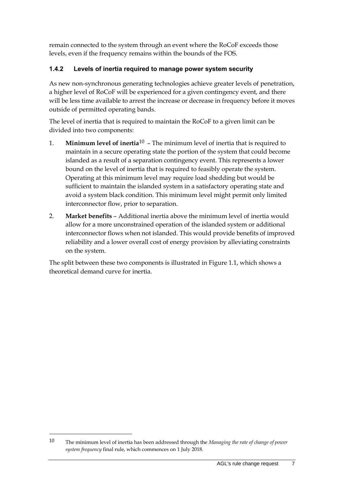remain connected to the system through an event where the RoCoF exceeds those levels, even if the frequency remains within the bounds of the FOS.

## **1.4.2 Levels of inertia required to manage power system security**

As new non-synchronous generating technologies achieve greater levels of penetration, a higher level of RoCoF will be experienced for a given contingency event, and there will be less time available to arrest the increase or decrease in frequency before it moves outside of permitted operating bands.

The level of inertia that is required to maintain the RoCoF to a given limit can be divided into two components:

- 1. **Minimum level of inertia**10 The minimum level of inertia that is required to maintain in a secure operating state the portion of the system that could become islanded as a result of a separation contingency event. This represents a lower bound on the level of inertia that is required to feasibly operate the system. Operating at this minimum level may require load shedding but would be sufficient to maintain the islanded system in a satisfactory operating state and avoid a system black condition. This minimum level might permit only limited interconnector flow, prior to separation.
- 2. **Market benefits** Additional inertia above the minimum level of inertia would allow for a more unconstrained operation of the islanded system or additional interconnector flows when not islanded. This would provide benefits of improved reliability and a lower overall cost of energy provision by alleviating constraints on the system.

The split between these two components is illustrated in Figure 1.1, which shows a theoretical demand curve for inertia.

<sup>10</sup> The minimum level of inertia has been addressed through the *Managing the rate of change of power system frequency* final rule, which commences on 1 July 2018.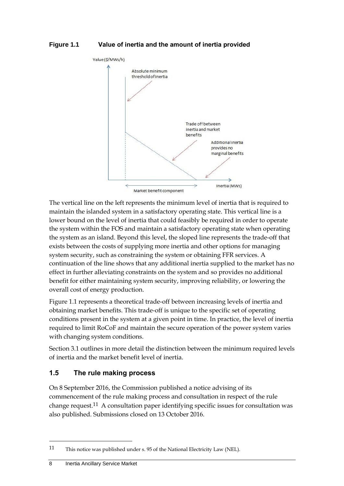

The vertical line on the left represents the minimum level of inertia that is required to maintain the islanded system in a satisfactory operating state. This vertical line is a lower bound on the level of inertia that could feasibly be required in order to operate the system within the FOS and maintain a satisfactory operating state when operating the system as an island. Beyond this level, the sloped line represents the trade-off that exists between the costs of supplying more inertia and other options for managing system security, such as constraining the system or obtaining FFR services. A continuation of the line shows that any additional inertia supplied to the market has no effect in further alleviating constraints on the system and so provides no additional benefit for either maintaining system security, improving reliability, or lowering the overall cost of energy production.

Figure 1.1 represents a theoretical trade-off between increasing levels of inertia and obtaining market benefits. This trade-off is unique to the specific set of operating conditions present in the system at a given point in time. In practice, the level of inertia required to limit RoCoF and maintain the secure operation of the power system varies with changing system conditions.

Section [3.1](#page-21-1) outlines in more detail the distinction between the minimum required levels of inertia and the market benefit level of inertia.

### <span id="page-13-0"></span>**1.5 The rule making process**

On 8 September 2016, the Commission published a notice advising of its commencement of the rule making process and consultation in respect of the rule change request.11 A consultation paper identifying specific issues for consultation was also published. Submissions closed on 13 October 2016.

<sup>11</sup> This notice was published under s. 95 of the National Electricity Law (NEL).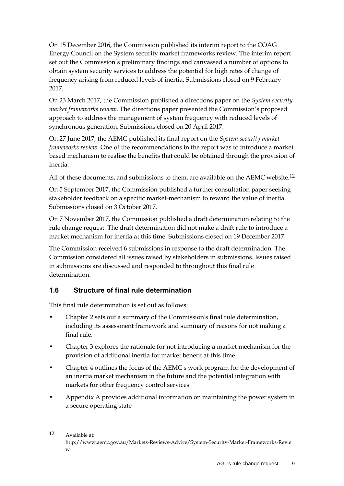On 15 December 2016, the Commission published its interim report to the COAG Energy Council on the System security market frameworks review. The interim report set out the Commission's preliminary findings and canvassed a number of options to obtain system security services to address the potential for high rates of change of frequency arising from reduced levels of inertia. Submissions closed on 9 February 2017.

On 23 March 2017, the Commission published a directions paper on the *System security market frameworks review*. The directions paper presented the Commission's proposed approach to address the management of system frequency with reduced levels of synchronous generation. Submissions closed on 20 April 2017.

On 27 June 2017, the AEMC published its final report on the *System security market frameworks review*. One of the recommendations in the report was to introduce a market based mechanism to realise the benefits that could be obtained through the provision of inertia.

All of these documents, and submissions to them, are available on the AEMC website.<sup>12</sup>

On 5 September 2017, the Commission published a further consultation paper seeking stakeholder feedback on a specific market-mechanism to reward the value of inertia. Submissions closed on 3 October 2017.

On 7 November 2017, the Commission published a draft determination relating to the rule change request. The draft determination did not make a draft rule to introduce a market mechanism for inertia at this time. Submissions closed on 19 December 2017.

The Commission received 6 submissions in response to the draft determination. The Commission considered all issues raised by stakeholders in submissions. Issues raised in submissions are discussed and responded to throughout this final rule determination.

## <span id="page-14-0"></span>**1.6 Structure of final rule determination**

This final rule determination is set out as follows:

- Chapter 2 sets out a summary of the Commission's final rule determination, including its assessment framework and summary of reasons for not making a final rule.
- Chapter 3 explores the rationale for not introducing a market mechanism for the provision of additional inertia for market benefit at this time
- Chapter 4 outlines the focus of the AEMC's work program for the development of an inertia market mechanism in the future and the potential integration with markets for other frequency control services
- Appendix A provides additional information on maintaining the power system in a secure operating state

<sup>12</sup> Available at: http://www.aemc.gov.au/Markets-Reviews-Advice/System-Security-Market-Frameworks-Revie w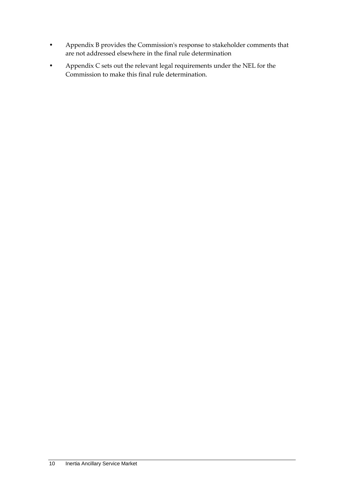- Appendix B provides the Commission's response to stakeholder comments that are not addressed elsewhere in the final rule determination
- Appendix C sets out the relevant legal requirements under the NEL for the Commission to make this final rule determination.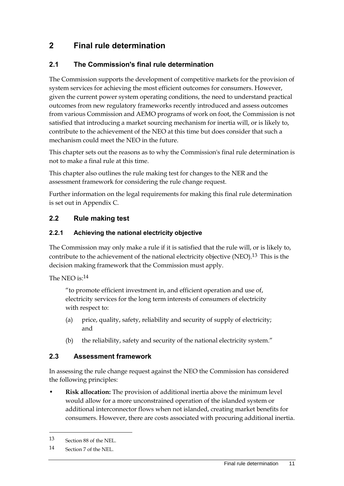# <span id="page-16-0"></span>**2 Final rule determination**

## <span id="page-16-1"></span>**2.1 The Commission's final rule determination**

The Commission supports the development of competitive markets for the provision of system services for achieving the most efficient outcomes for consumers. However, given the current power system operating conditions, the need to understand practical outcomes from new regulatory frameworks recently introduced and assess outcomes from various Commission and AEMO programs of work on foot, the Commission is not satisfied that introducing a market sourcing mechanism for inertia will, or is likely to, contribute to the achievement of the NEO at this time but does consider that such a mechanism could meet the NEO in the future.

This chapter sets out the reasons as to why the Commission's final rule determination is not to make a final rule at this time.

This chapter also outlines the rule making test for changes to the NER and the assessment framework for considering the rule change request.

Further information on the legal requirements for making this final rule determination is set out in Appendix C.

## <span id="page-16-2"></span>**2.2 Rule making test**

## **2.2.1 Achieving the national electricity objective**

The Commission may only make a rule if it is satisfied that the rule will, or is likely to, contribute to the achievement of the national electricity objective (NEO).<sup>13</sup> This is the decision making framework that the Commission must apply.

The NEO is:14

"to promote efficient investment in, and efficient operation and use of, electricity services for the long term interests of consumers of electricity with respect to:

- (a) price, quality, safety, reliability and security of supply of electricity; and
- (b) the reliability, safety and security of the national electricity system."

## <span id="page-16-3"></span>**2.3 Assessment framework**

In assessing the rule change request against the NEO the Commission has considered the following principles:

• **Risk allocation:** The provision of additional inertia above the minimum level would allow for a more unconstrained operation of the islanded system or additional interconnector flows when not islanded, creating market benefits for consumers. However, there are costs associated with procuring additional inertia.

<sup>13</sup> Section 88 of the NEL.

<sup>14</sup> Section 7 of the NEL.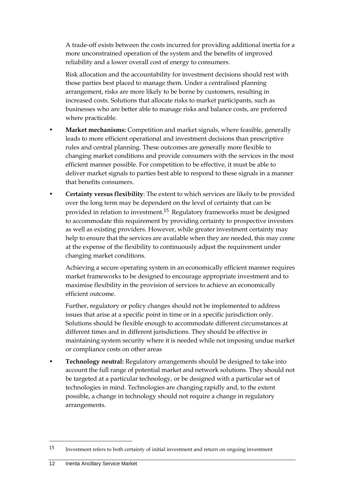A trade-off exists between the costs incurred for providing additional inertia for a more unconstrained operation of the system and the benefits of improved reliability and a lower overall cost of energy to consumers.

Risk allocation and the accountability for investment decisions should rest with those parties best placed to manage them. Under a centralised planning arrangement, risks are more likely to be borne by customers, resulting in increased costs. Solutions that allocate risks to market participants, such as businesses who are better able to manage risks and balance costs, are preferred where practicable.

- **Market mechanisms:** Competition and market signals, where feasible, generally leads to more efficient operational and investment decisions than prescriptive rules and central planning. These outcomes are generally more flexible to changing market conditions and provide consumers with the services in the most efficient manner possible. For competition to be effective, it must be able to deliver market signals to parties best able to respond to these signals in a manner that benefits consumers.
- **Certainty versus flexibility**: The extent to which services are likely to be provided over the long term may be dependent on the level of certainty that can be provided in relation to investment.15 Regulatory frameworks must be designed to accommodate this requirement by providing certainty to prospective investors as well as existing providers. However, while greater investment certainty may help to ensure that the services are available when they are needed, this may come at the expense of the flexibility to continuously adjust the requirement under changing market conditions.

Achieving a secure operating system in an economically efficient manner requires market frameworks to be designed to encourage appropriate investment and to maximise flexibility in the provision of services to achieve an economically efficient outcome.

Further, regulatory or policy changes should not be implemented to address issues that arise at a specific point in time or in a specific jurisdiction only. Solutions should be flexible enough to accommodate different circumstances at different times and in different jurisdictions. They should be effective in maintaining system security where it is needed while not imposing undue market or compliance costs on other areas

• **Technology neutral:** Regulatory arrangements should be designed to take into account the full range of potential market and network solutions. They should not be targeted at a particular technology, or be designed with a particular set of technologies in mind. Technologies are changing rapidly and, to the extent possible, a change in technology should not require a change in regulatory arrangements.

<sup>15</sup> Investment refers to both certainty of initial investment and return on ongoing investment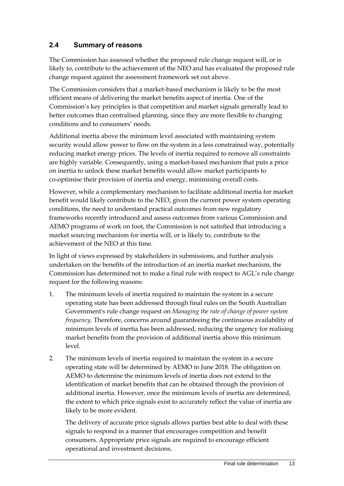## <span id="page-18-0"></span>**2.4 Summary of reasons**

The Commission has assessed whether the proposed rule change request will, or is likely to, contribute to the achievement of the NEO and has evaluated the proposed rule change request against the assessment framework set out above.

The Commission considers that a market-based mechanism is likely to be the most efficient means of delivering the market benefits aspect of inertia. One of the Commission's key principles is that competition and market signals generally lead to better outcomes than centralised planning, since they are more flexible to changing conditions and to consumers' needs.

Additional inertia above the minimum level associated with maintaining system security would allow power to flow on the system in a less constrained way, potentially reducing market energy prices. The levels of inertia required to remove all constraints are highly variable. Consequently, using a market-based mechanism that puts a price on inertia to unlock these market benefits would allow market participants to co-optimise their provision of inertia and energy, minimising overall costs.

However, while a complementary mechanism to facilitate additional inertia for market benefit would likely contribute to the NEO, given the current power system operating conditions, the need to understand practical outcomes from new regulatory frameworks recently introduced and assess outcomes from various Commission and AEMO programs of work on foot, the Commission is not satisfied that introducing a market sourcing mechanism for inertia will, or is likely to, contribute to the achievement of the NEO at this time.

In light of views expressed by stakeholders in submissions, and further analysis undertaken on the benefits of the introduction of an inertia market mechanism, the Commission has determined not to make a final rule with respect to AGL's rule change request for the following reasons:

- 1. The minimum levels of inertia required to maintain the system in a secure operating state has been addressed through final rules on the South Australian Government's rule change request on *Managing the rate of change of power system frequency*. Therefore, concerns around guaranteeing the continuous availability of minimum levels of inertia has been addressed, reducing the urgency for realising market benefits from the provision of additional inertia above this minimum level.
- 2. The minimum levels of inertia required to maintain the system in a secure operating state will be determined by AEMO in June 2018. The obligation on AEMO to determine the minimum levels of inertia does not extend to the identification of market benefits that can be obtained through the provision of additional inertia. However, once the minimum levels of inertia are determined, the extent to which price signals exist to accurately reflect the value of inertia are likely to be more evident.

The delivery of accurate price signals allows parties best able to deal with these signals to respond in a manner that encourages competition and benefit consumers. Appropriate price signals are required to encourage efficient operational and investment decisions.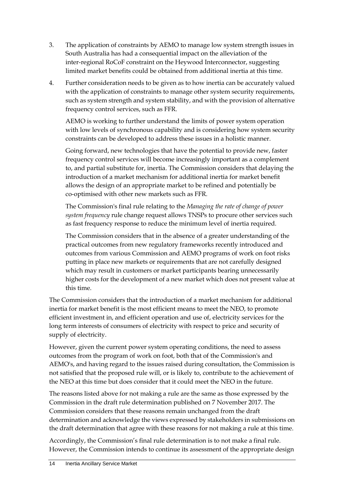- 3. The application of constraints by AEMO to manage low system strength issues in South Australia has had a consequential impact on the alleviation of the inter-regional RoCoF constraint on the Heywood Interconnector, suggesting limited market benefits could be obtained from additional inertia at this time.
- 4. Further consideration needs to be given as to how inertia can be accurately valued with the application of constraints to manage other system security requirements, such as system strength and system stability, and with the provision of alternative frequency control services, such as FFR.

AEMO is working to further understand the limits of power system operation with low levels of synchronous capability and is considering how system security constraints can be developed to address these issues in a holistic manner.

Going forward, new technologies that have the potential to provide new, faster frequency control services will become increasingly important as a complement to, and partial substitute for, inertia. The Commission considers that delaying the introduction of a market mechanism for additional inertia for market benefit allows the design of an appropriate market to be refined and potentially be co-optimised with other new markets such as FFR.

The Commission's final rule relating to the *Managing the rate of change of power system frequency* rule change request allows TNSPs to procure other services such as fast frequency response to reduce the minimum level of inertia required.

The Commission considers that in the absence of a greater understanding of the practical outcomes from new regulatory frameworks recently introduced and outcomes from various Commission and AEMO programs of work on foot risks putting in place new markets or requirements that are not carefully designed which may result in customers or market participants bearing unnecessarily higher costs for the development of a new market which does not present value at this time.

The Commission considers that the introduction of a market mechanism for additional inertia for market benefit is the most efficient means to meet the NEO, to promote efficient investment in, and efficient operation and use of, electricity services for the long term interests of consumers of electricity with respect to price and security of supply of electricity.

However, given the current power system operating conditions, the need to assess outcomes from the program of work on foot, both that of the Commission's and AEMO's, and having regard to the issues raised during consultation, the Commission is not satisfied that the proposed rule will, or is likely to, contribute to the achievement of the NEO at this time but does consider that it could meet the NEO in the future.

The reasons listed above for not making a rule are the same as those expressed by the Commission in the draft rule determination published on 7 November 2017. The Commission considers that these reasons remain unchanged from the draft determination and acknowledge the views expressed by stakeholders in submissions on the draft determination that agree with these reasons for not making a rule at this time.

Accordingly, the Commission's final rule determination is to not make a final rule. However, the Commission intends to continue its assessment of the appropriate design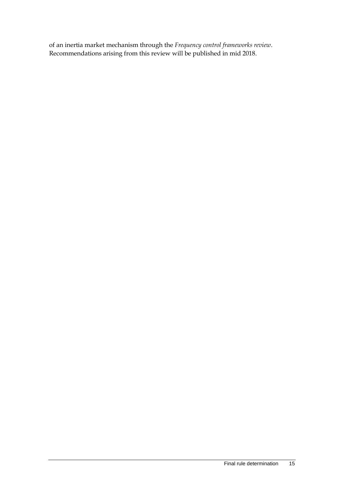of an inertia market mechanism through the *Frequency control frameworks review*. Recommendations arising from this review will be published in mid 2018.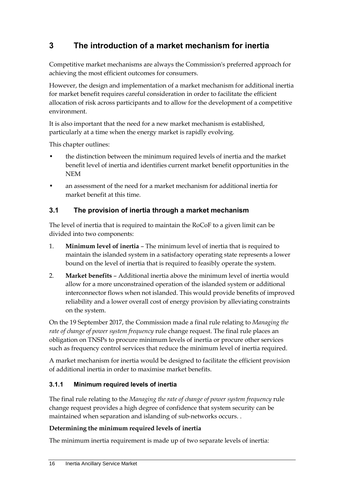# <span id="page-21-0"></span>**3 The introduction of a market mechanism for inertia**

Competitive market mechanisms are always the Commission's preferred approach for achieving the most efficient outcomes for consumers.

However, the design and implementation of a market mechanism for additional inertia for market benefit requires careful consideration in order to facilitate the efficient allocation of risk across participants and to allow for the development of a competitive environment.

It is also important that the need for a new market mechanism is established, particularly at a time when the energy market is rapidly evolving.

This chapter outlines:

- the distinction between the minimum required levels of inertia and the market benefit level of inertia and identifies current market benefit opportunities in the NEM
- an assessment of the need for a market mechanism for additional inertia for market benefit at this time.

## <span id="page-21-1"></span>**3.1 The provision of inertia through a market mechanism**

The level of inertia that is required to maintain the RoCoF to a given limit can be divided into two components:

- 1. **Minimum level of inertia** The minimum level of inertia that is required to maintain the islanded system in a satisfactory operating state represents a lower bound on the level of inertia that is required to feasibly operate the system.
- 2. **Market benefits** Additional inertia above the minimum level of inertia would allow for a more unconstrained operation of the islanded system or additional interconnector flows when not islanded. This would provide benefits of improved reliability and a lower overall cost of energy provision by alleviating constraints on the system.

On the 19 September 2017, the Commission made a final rule relating to *Managing the rate of change of power system frequency* rule change request. The final rule places an obligation on TNSPs to procure minimum levels of inertia or procure other services such as frequency control services that reduce the minimum level of inertia required.

A market mechanism for inertia would be designed to facilitate the efficient provision of additional inertia in order to maximise market benefits.

## **3.1.1 Minimum required levels of inertia**

The final rule relating to the *Managing the rate of change of power system frequency* rule change request provides a high degree of confidence that system security can be maintained when separation and islanding of sub-networks occurs. .

## **Determining the minimum required levels of inertia**

The minimum inertia requirement is made up of two separate levels of inertia: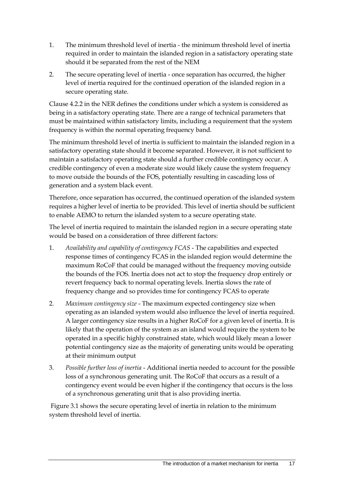- 1. The minimum threshold level of inertia the minimum threshold level of inertia required in order to maintain the islanded region in a satisfactory operating state should it be separated from the rest of the NEM
- 2. The secure operating level of inertia once separation has occurred, the higher level of inertia required for the continued operation of the islanded region in a secure operating state.

Clause 4.2.2 in the NER defines the conditions under which a system is considered as being in a satisfactory operating state. There are a range of technical parameters that must be maintained within satisfactory limits, including a requirement that the system frequency is within the normal operating frequency band.

The minimum threshold level of inertia is sufficient to maintain the islanded region in a satisfactory operating state should it become separated. However, it is not sufficient to maintain a satisfactory operating state should a further credible contingency occur. A credible contingency of even a moderate size would likely cause the system frequency to move outside the bounds of the FOS, potentially resulting in cascading loss of generation and a system black event.

Therefore, once separation has occurred, the continued operation of the islanded system requires a higher level of inertia to be provided. This level of inertia should be sufficient to enable AEMO to return the islanded system to a secure operating state.

The level of inertia required to maintain the islanded region in a secure operating state would be based on a consideration of three different factors:

- 1. *Availability and capability of contingency FCAS* The capabilities and expected response times of contingency FCAS in the islanded region would determine the maximum RoCoF that could be managed without the frequency moving outside the bounds of the FOS. Inertia does not act to stop the frequency drop entirely or revert frequency back to normal operating levels. Inertia slows the rate of frequency change and so provides time for contingency FCAS to operate
- 2. *Maximum contingency size* The maximum expected contingency size when operating as an islanded system would also influence the level of inertia required. A larger contingency size results in a higher RoCoF for a given level of inertia. It is likely that the operation of the system as an island would require the system to be operated in a specific highly constrained state, which would likely mean a lower potential contingency size as the majority of generating units would be operating at their minimum output
- 3. *Possible further loss of inertia* Additional inertia needed to account for the possible loss of a synchronous generating unit. The RoCoF that occurs as a result of a contingency event would be even higher if the contingency that occurs is the loss of a synchronous generating unit that is also providing inertia.

Figure 3.1 shows the secure operating level of inertia in relation to the minimum system threshold level of inertia.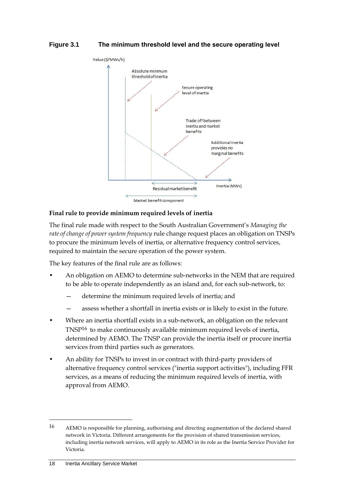#### **Figure 3.1 The minimum threshold level and the secure operating level**



#### **Final rule to provide minimum required levels of inertia**

The final rule made with respect to the South Australian Government's *Managing the rate of change of power system frequency* rule change request places an obligation on TNSPs to procure the minimum levels of inertia, or alternative frequency control services, required to maintain the secure operation of the power system.

The key features of the final rule are as follows:

- An obligation on AEMO to determine sub-networks in the NEM that are required to be able to operate independently as an island and, for each sub-network, to:
	- determine the minimum required levels of inertia; and
	- assess whether a shortfall in inertia exists or is likely to exist in the future.
- Where an inertia shortfall exists in a sub-network, an obligation on the relevant TNSP16 to make continuously available minimum required levels of inertia, determined by AEMO. The TNSP can provide the inertia itself or procure inertia services from third parties such as generators.
- An ability for TNSPs to invest in or contract with third-party providers of alternative frequency control services ("inertia support activities"), including FFR services, as a means of reducing the minimum required levels of inertia, with approval from AEMO.

<sup>16</sup> AEMO is responsible for planning, authorising and directing augmentation of the declared shared network in Victoria. Different arrangements for the provision of shared transmission services, including inertia network services, will apply to AEMO in its role as the Inertia Service Provider for Victoria.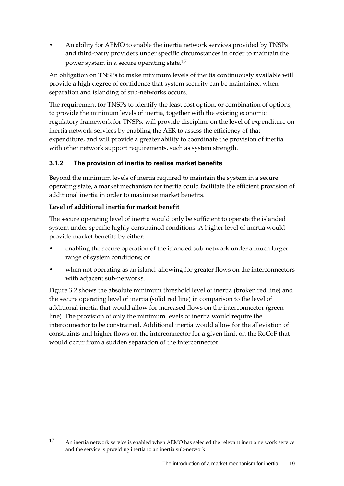• An ability for AEMO to enable the inertia network services provided by TNSPs and third-party providers under specific circumstances in order to maintain the power system in a secure operating state.17

An obligation on TNSPs to make minimum levels of inertia continuously available will provide a high degree of confidence that system security can be maintained when separation and islanding of sub-networks occurs.

The requirement for TNSPs to identify the least cost option, or combination of options, to provide the minimum levels of inertia, together with the existing economic regulatory framework for TNSPs, will provide discipline on the level of expenditure on inertia network services by enabling the AER to assess the efficiency of that expenditure, and will provide a greater ability to coordinate the provision of inertia with other network support requirements, such as system strength.

## **3.1.2 The provision of inertia to realise market benefits**

Beyond the minimum levels of inertia required to maintain the system in a secure operating state, a market mechanism for inertia could facilitate the efficient provision of additional inertia in order to maximise market benefits.

### **Level of additional inertia for market benefit**

1

The secure operating level of inertia would only be sufficient to operate the islanded system under specific highly constrained conditions. A higher level of inertia would provide market benefits by either:

- enabling the secure operation of the islanded sub-network under a much larger range of system conditions; or
- when not operating as an island, allowing for greater flows on the interconnectors with adjacent sub-networks.

Figure 3.2 shows the absolute minimum threshold level of inertia (broken red line) and the secure operating level of inertia (solid red line) in comparison to the level of additional inertia that would allow for increased flows on the interconnector (green line). The provision of only the minimum levels of inertia would require the interconnector to be constrained. Additional inertia would allow for the alleviation of constraints and higher flows on the interconnector for a given limit on the RoCoF that would occur from a sudden separation of the interconnector.

<sup>17</sup> An inertia network service is enabled when AEMO has selected the relevant inertia network service and the service is providing inertia to an inertia sub-network.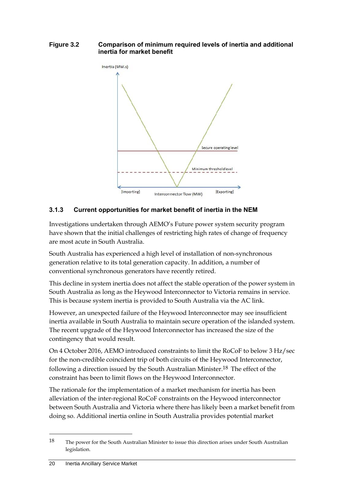#### **Figure 3.2 Comparison of minimum required levels of inertia and additional inertia for market benefit**



## **3.1.3 Current opportunities for market benefit of inertia in the NEM**

Investigations undertaken through AEMO's Future power system security program have shown that the initial challenges of restricting high rates of change of frequency are most acute in South Australia.

South Australia has experienced a high level of installation of non-synchronous generation relative to its total generation capacity. In addition, a number of conventional synchronous generators have recently retired.

This decline in system inertia does not affect the stable operation of the power system in South Australia as long as the Heywood Interconnector to Victoria remains in service. This is because system inertia is provided to South Australia via the AC link.

However, an unexpected failure of the Heywood Interconnector may see insufficient inertia available in South Australia to maintain secure operation of the islanded system. The recent upgrade of the Heywood Interconnector has increased the size of the contingency that would result.

On 4 October 2016, AEMO introduced constraints to limit the RoCoF to below 3 Hz/sec for the non-credible coincident trip of both circuits of the Heywood Interconnector, following a direction issued by the South Australian Minister.18 The effect of the constraint has been to limit flows on the Heywood Interconnector.

The rationale for the implementation of a market mechanism for inertia has been alleviation of the inter-regional RoCoF constraints on the Heywood interconnector between South Australia and Victoria where there has likely been a market benefit from doing so. Additional inertia online in South Australia provides potential market

<sup>18</sup> The power for the South Australian Minister to issue this direction arises under South Australian legislation.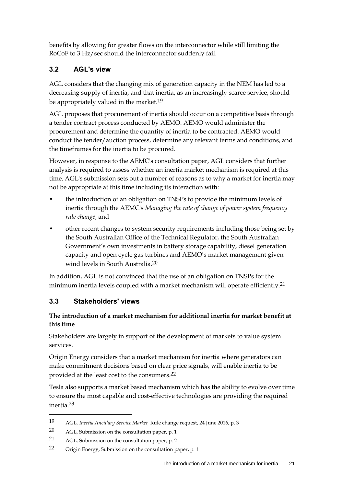benefits by allowing for greater flows on the interconnector while still limiting the RoCoF to 3 Hz/sec should the interconnector suddenly fail.

## <span id="page-26-0"></span>**3.2 AGL's view**

AGL considers that the changing mix of generation capacity in the NEM has led to a decreasing supply of inertia, and that inertia, as an increasingly scarce service, should be appropriately valued in the market.19

AGL proposes that procurement of inertia should occur on a competitive basis through a tender contract process conducted by AEMO. AEMO would administer the procurement and determine the quantity of inertia to be contracted. AEMO would conduct the tender/auction process, determine any relevant terms and conditions, and the timeframes for the inertia to be procured.

However, in response to the AEMC's consultation paper, AGL considers that further analysis is required to assess whether an inertia market mechanism is required at this time. AGL's submission sets out a number of reasons as to why a market for inertia may not be appropriate at this time including its interaction with:

- the introduction of an obligation on TNSPs to provide the minimum levels of inertia through the AEMC's *Managing the rate of change of power system frequency rule change*, and
- other recent changes to system security requirements including those being set by the South Australian Office of the Technical Regulator, the South Australian Government's own investments in battery storage capability, diesel generation capacity and open cycle gas turbines and AEMO's market management given wind levels in South Australia.20

In addition, AGL is not convinced that the use of an obligation on TNSPs for the minimum inertia levels coupled with a market mechanism will operate efficiently.<sup>21</sup>

## <span id="page-26-1"></span>**3.3 Stakeholders' views**

## **The introduction of a market mechanism for additional inertia for market benefit at this time**

Stakeholders are largely in support of the development of markets to value system services.

Origin Energy considers that a market mechanism for inertia where generators can make commitment decisions based on clear price signals, will enable inertia to be provided at the least cost to the consumers.22

Tesla also supports a market based mechanism which has the ability to evolve over time to ensure the most capable and cost-effective technologies are providing the required inertia.23

<sup>19</sup> AGL, *Inertia Ancillary Service Market,* Rule change request, 24 June 2016, p. 3

<sup>20</sup> AGL, Submission on the consultation paper, p. 1

<sup>21</sup> AGL, Submission on the consultation paper, p. 2

<sup>22</sup> Origin Energy, Submission on the consultation paper, p. 1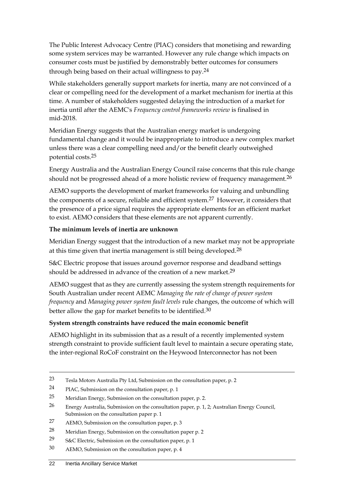The Public Interest Advocacy Centre (PIAC) considers that monetising and rewarding some system services may be warranted. However any rule change which impacts on consumer costs must be justified by demonstrably better outcomes for consumers through being based on their actual willingness to pay.24

While stakeholders generally support markets for inertia, many are not convinced of a clear or compelling need for the development of a market mechanism for inertia at this time. A number of stakeholders suggested delaying the introduction of a market for inertia until after the AEMC's *Frequency control frameworks review* is finalised in mid-2018.

Meridian Energy suggests that the Australian energy market is undergoing fundamental change and it would be inappropriate to introduce a new complex market unless there was a clear compelling need and/or the benefit clearly outweighed potential costs.25

Energy Australia and the Australian Energy Council raise concerns that this rule change should not be progressed ahead of a more holistic review of frequency management.<sup>26</sup>

AEMO supports the development of market frameworks for valuing and unbundling the components of a secure, reliable and efficient system.<sup>27</sup> However, it considers that the presence of a price signal requires the appropriate elements for an efficient market to exist. AEMO considers that these elements are not apparent currently.

#### **The minimum levels of inertia are unknown**

Meridian Energy suggest that the introduction of a new market may not be appropriate at this time given that inertia management is still being developed.<sup>28</sup>

S&C Electric propose that issues around governor response and deadband settings should be addressed in advance of the creation of a new market.29

AEMO suggest that as they are currently assessing the system strength requirements for South Australian under recent AEMC *Managing the rate of change of power system frequency* and *Managing power system fault levels* rule changes, the outcome of which will better allow the gap for market benefits to be identified.<sup>30</sup>

### **System strength constraints have reduced the main economic benefit**

AEMO highlight in its submission that as a result of a recently implemented system strength constraint to provide sufficient fault level to maintain a secure operating state, the inter-regional RoCoF constraint on the Heywood Interconnector has not been

<sup>23</sup> Tesla Motors Australia Pty Ltd, Submission on the consultation paper, p. 2

<sup>24</sup> PIAC, Submission on the consultation paper, p. 1

<sup>25</sup> Meridian Energy, Submission on the consultation paper, p. 2.

<sup>26</sup> Energy Australia, Submission on the consultation paper, p. 1, 2; Australian Energy Council, Submission on the consultation paper p. 1

<sup>27</sup> AEMO, Submission on the consultation paper, p. 3

<sup>28</sup> Meridian Energy, Submission on the consultation paper p. 2

<sup>29</sup> S&C Electric, Submission on the consultation paper, p. 1

<sup>30</sup> AEMO, Submission on the consultation paper, p. 4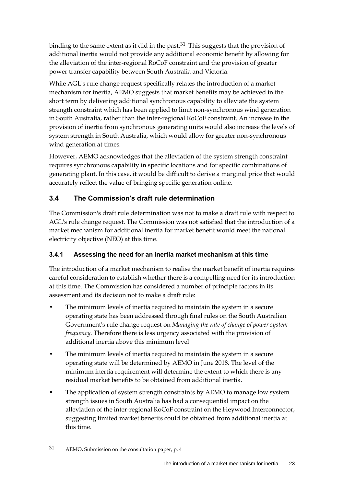binding to the same extent as it did in the past.<sup>31</sup> This suggests that the provision of additional inertia would not provide any additional economic benefit by allowing for the alleviation of the inter-regional RoCoF constraint and the provision of greater power transfer capability between South Australia and Victoria.

While AGL's rule change request specifically relates the introduction of a market mechanism for inertia, AEMO suggests that market benefits may be achieved in the short term by delivering additional synchronous capability to alleviate the system strength constraint which has been applied to limit non-synchronous wind generation in South Australia, rather than the inter-regional RoCoF constraint. An increase in the provision of inertia from synchronous generating units would also increase the levels of system strength in South Australia, which would allow for greater non-synchronous wind generation at times.

However, AEMO acknowledges that the alleviation of the system strength constraint requires synchronous capability in specific locations and for specific combinations of generating plant. In this case, it would be difficult to derive a marginal price that would accurately reflect the value of bringing specific generation online.

## <span id="page-28-0"></span>**3.4 The Commission's draft rule determination**

The Commission's draft rule determination was not to make a draft rule with respect to AGL's rule change request. The Commission was not satisfied that the introduction of a market mechanism for additional inertia for market benefit would meet the national electricity objective (NEO) at this time.

## **3.4.1 Assessing the need for an inertia market mechanism at this time**

The introduction of a market mechanism to realise the market benefit of inertia requires careful consideration to establish whether there is a compelling need for its introduction at this time. The Commission has considered a number of principle factors in its assessment and its decision not to make a draft rule:

- The minimum levels of inertia required to maintain the system in a secure operating state has been addressed through final rules on the South Australian Government's rule change request on *Managing the rate of change of power system frequency*. Therefore there is less urgency associated with the provision of additional inertia above this minimum level
- The minimum levels of inertia required to maintain the system in a secure operating state will be determined by AEMO in June 2018. The level of the minimum inertia requirement will determine the extent to which there is any residual market benefits to be obtained from additional inertia.
- The application of system strength constraints by AEMO to manage low system strength issues in South Australia has had a consequential impact on the alleviation of the inter-regional RoCoF constraint on the Heywood Interconnector, suggesting limited market benefits could be obtained from additional inertia at this time.

<sup>31</sup> AEMO, Submission on the consultation paper, p. 4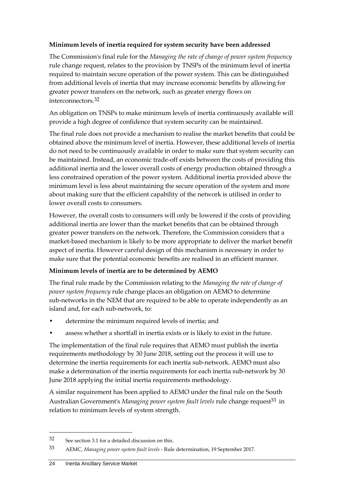#### **Minimum levels of inertia required for system security have been addressed**

The Commission's final rule for the *Managing the rate of change of power system frequency*  rule change request, relates to the provision by TNSPs of the minimum level of inertia required to maintain secure operation of the power system. This can be distinguished from additional levels of inertia that may increase economic benefits by allowing for greater power transfers on the network, such as greater energy flows on interconnectors.32

An obligation on TNSPs to make minimum levels of inertia continuously available will provide a high degree of confidence that system security can be maintained.

The final rule does not provide a mechanism to realise the market benefits that could be obtained above the minimum level of inertia. However, these additional levels of inertia do not need to be continuously available in order to make sure that system security can be maintained. Instead, an economic trade-off exists between the costs of providing this additional inertia and the lower overall costs of energy production obtained through a less constrained operation of the power system. Additional inertia provided above the minimum level is less about maintaining the secure operation of the system and more about making sure that the efficient capability of the network is utilised in order to lower overall costs to consumers.

However, the overall costs to consumers will only be lowered if the costs of providing additional inertia are lower than the market benefits that can be obtained through greater power transfers on the network. Therefore, the Commission considers that a market-based mechanism is likely to be more appropriate to deliver the market benefit aspect of inertia. However careful design of this mechanism is necessary in order to make sure that the potential economic benefits are realised in an efficient manner.

### **Minimum levels of inertia are to be determined by AEMO**

The final rule made by the Commission relating to the *Managing the rate of change of power system frequency* rule change places an obligation on AEMO to determine sub-networks in the NEM that are required to be able to operate independently as an island and, for each sub-network, to:

- determine the minimum required levels of inertia; and
- assess whether a shortfall in inertia exists or is likely to exist in the future.

The implementation of the final rule requires that AEMO must publish the inertia requirements methodology by 30 June 2018, setting out the process it will use to determine the inertia requirements for each inertia sub-network. AEMO must also make a determination of the inertia requirements for each inertia sub-network by 30 June 2018 applying the initial inertia requirements methodology.

A similar requirement has been applied to AEMO under the final rule on the South Australian Government's *Managing power system fault levels* rule change request<sup>33</sup> in relation to minimum levels of system strength.

<sup>32</sup> See section 3.1 for a detailed discussion on this.

<sup>33</sup> AEMC, *Managing power system fault levels* - Rule determination, 19 September 2017.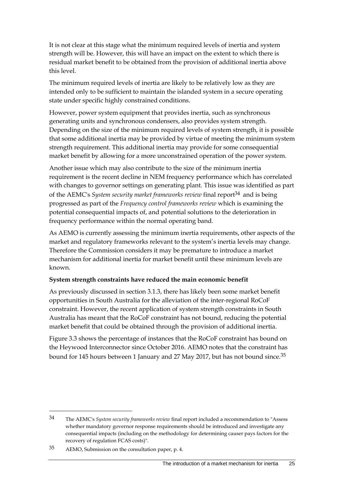It is not clear at this stage what the minimum required levels of inertia and system strength will be. However, this will have an impact on the extent to which there is residual market benefit to be obtained from the provision of additional inertia above this level.

The minimum required levels of inertia are likely to be relatively low as they are intended only to be sufficient to maintain the islanded system in a secure operating state under specific highly constrained conditions.

However, power system equipment that provides inertia, such as synchronous generating units and synchronous condensers, also provides system strength. Depending on the size of the minimum required levels of system strength, it is possible that some additional inertia may be provided by virtue of meeting the minimum system strength requirement. This additional inertia may provide for some consequential market benefit by allowing for a more unconstrained operation of the power system.

Another issue which may also contribute to the size of the minimum inertia requirement is the recent decline in NEM frequency performance which has correlated with changes to governor settings on generating plant. This issue was identified as part of the AEMC's *System security market frameworks review* final report34 and is being progressed as part of the *Frequency control frameworks review* which is examining the potential consequential impacts of, and potential solutions to the deterioration in frequency performance within the normal operating band.

As AEMO is currently assessing the minimum inertia requirements, other aspects of the market and regulatory frameworks relevant to the system's inertia levels may change. Therefore the Commission considers it may be premature to introduce a market mechanism for additional inertia for market benefit until these minimum levels are known.

#### **System strength constraints have reduced the main economic benefit**

As previously discussed in section 3.1.3, there has likely been some market benefit opportunities in South Australia for the alleviation of the inter-regional RoCoF constraint. However, the recent application of system strength constraints in South Australia has meant that the RoCoF constraint has not bound, reducing the potential market benefit that could be obtained through the provision of additional inertia.

Figure 3.3 shows the percentage of instances that the RoCoF constraint has bound on the Heywood Interconnector since October 2016. AEMO notes that the constraint has bound for 145 hours between 1 January and 27 May 2017, but has not bound since.<sup>35</sup>

<sup>34</sup> The AEMC's *System security frameworks review* final report included a recommendation to "Assess whether mandatory governor response requirements should be introduced and investigate any consequential impacts (including on the methodology for determining causer pays factors for the recovery of regulation FCAS costs)".

<sup>35</sup> AEMO, Submission on the consultation paper, p. 4.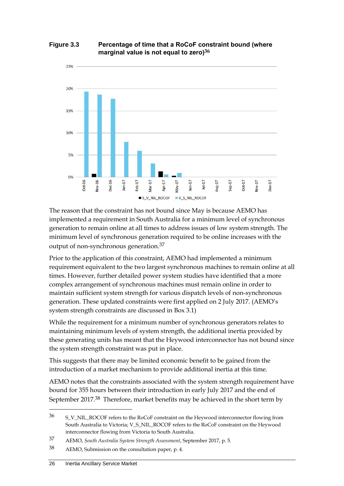



The reason that the constraint has not bound since May is because AEMO has implemented a requirement in South Australia for a minimum level of synchronous generation to remain online at all times to address issues of low system strength. The minimum level of synchronous generation required to be online increases with the output of non-synchronous generation.37

Prior to the application of this constraint, AEMO had implemented a minimum requirement equivalent to the two largest synchronous machines to remain online at all times. However, further detailed power system studies have identified that a more complex arrangement of synchronous machines must remain online in order to maintain sufficient system strength for various dispatch levels of non-synchronous generation. These updated constraints were first applied on 2 July 2017. (AEMO's system strength constraints are discussed in Box 3.1)

While the requirement for a minimum number of synchronous generators relates to maintaining minimum levels of system strength, the additional inertia provided by these generating units has meant that the Heywood interconnector has not bound since the system strength constraint was put in place.

This suggests that there may be limited economic benefit to be gained from the introduction of a market mechanism to provide additional inertia at this time.

AEMO notes that the constraints associated with the system strength requirement have bound for 355 hours between their introduction in early July 2017 and the end of September 2017.38 Therefore, market benefits may be achieved in the short term by

<sup>36</sup> S\_V\_NIL\_ROCOF refers to the RoCoF constraint on the Heywood interconnector flowing from South Australia to Victoria; V\_S\_NIL\_ROCOF refers to the RoCoF constraint on the Heywood interconnector flowing from Victoria to South Australia.

<sup>37</sup> AEMO, *South Australia System Strength Assessment*, September 2017, p. 5.

<sup>38</sup> AEMO, Submission on the consultation paper, p. 4.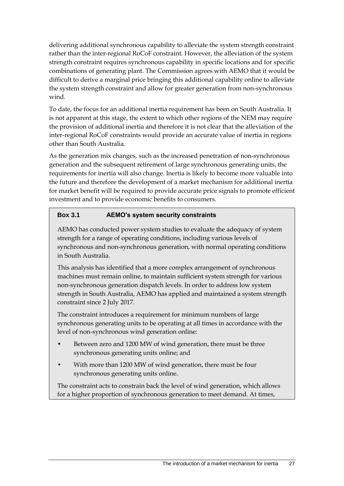delivering additional synchronous capability to alleviate the system strength constraint rather than the inter-regional RoCoF constraint. However, the alleviation of the system strength constraint requires synchronous capability in specific locations and for specific combinations of generating plant. The Commission agrees with AEMO that it would be difficult to derive a marginal price bringing this additional capability online to alleviate the system strength constraint and allow for greater generation from non-synchronous wind.

To date, the focus for an additional inertia requirement has been on South Australia. It is not apparent at this stage, the extent to which other regions of the NEM may require the provision of additional inertia and therefore it is not clear that the alleviation of the inter-regional RoCoF constraints would provide an accurate value of inertia in regions other than South Australia.

As the generation mix changes, such as the increased penetration of non-synchronous generation and the subsequent retirement of large synchronous generating units, the requirements for inertia will also change. Inertia is likely to become more valuable into the future and therefore the development of a market mechanism for additional inertia for market benefit will be required to provide accurate price signals to promote efficient investment and to provide economic benefits to consumers.

## **Box 3.1 AEMO's system security constraints**

AEMO has conducted power system studies to evaluate the adequacy of system strength for a range of operating conditions, including various levels of synchronous and non-synchronous generation, with normal operating conditions in South Australia.

This analysis has identified that a more complex arrangement of synchronous machines must remain online, to maintain sufficient system strength for various non-synchronous generation dispatch levels. In order to address low system strength in South Australia, AEMO has applied and maintained a system strength constraint since 2 July 2017.

The constraint introduces a requirement for minimum numbers of large synchronous generating units to be operating at all times in accordance with the level of non-synchronous wind generation online:

- Between zero and 1200 MW of wind generation, there must be three synchronous generating units online; and
- With more than 1200 MW of wind generation, there must be four synchronous generating units online.

The constraint acts to constrain back the level of wind generation, which allows for a higher proportion of synchronous generation to meet demand. At times,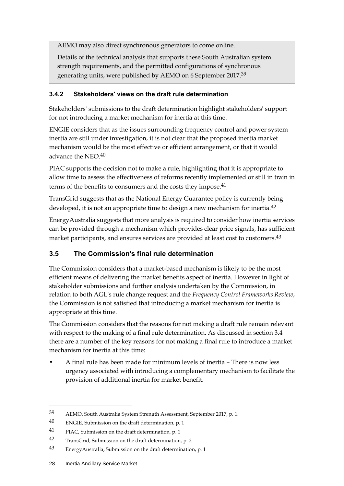AEMO may also direct synchronous generators to come online.

Details of the technical analysis that supports these South Australian system strength requirements, and the permitted configurations of synchronous generating units, were published by AEMO on 6 September 2017.39

### **3.4.2 Stakeholders' views on the draft rule determination**

Stakeholders' submissions to the draft determination highlight stakeholders' support for not introducing a market mechanism for inertia at this time.

ENGIE considers that as the issues surrounding frequency control and power system inertia are still under investigation, it is not clear that the proposed inertia market mechanism would be the most effective or efficient arrangement, or that it would advance the NEO.<sup>40</sup>

PIAC supports the decision not to make a rule, highlighting that it is appropriate to allow time to assess the effectiveness of reforms recently implemented or still in train in terms of the benefits to consumers and the costs they impose.<sup>41</sup>

TransGrid suggests that as the National Energy Guarantee policy is currently being developed, it is not an appropriate time to design a new mechanism for inertia.<sup>42</sup>

EnergyAustralia suggests that more analysis is required to consider how inertia services can be provided through a mechanism which provides clear price signals, has sufficient market participants, and ensures services are provided at least cost to customers.<sup>43</sup>

## <span id="page-33-0"></span>**3.5 The Commission's final rule determination**

The Commission considers that a market-based mechanism is likely to be the most efficient means of delivering the market benefits aspect of inertia. However in light of stakeholder submissions and further analysis undertaken by the Commission, in relation to both AGL's rule change request and the *Frequency Control Frameworks Review*, the Commission is not satisfied that introducing a market mechanism for inertia is appropriate at this time.

The Commission considers that the reasons for not making a draft rule remain relevant with respect to the making of a final rule determination. As discussed in section [3.4](#page-28-0) there are a number of the key reasons for not making a final rule to introduce a market mechanism for inertia at this time:

• A final rule has been made for minimum levels of inertia – There is now less urgency associated with introducing a complementary mechanism to facilitate the provision of additional inertia for market benefit.

<sup>39</sup> AEMO, South Australia System Strength Assessment, September 2017, p. 1.

<sup>40</sup> ENGIE, Submission on the draft determination, p. 1

<sup>41</sup> PIAC, Submission on the draft determination, p. 1

<sup>42</sup> TransGrid, Submission on the draft determination, p. 2

<sup>43</sup> EnergyAustralia, Submission on the draft determination, p. 1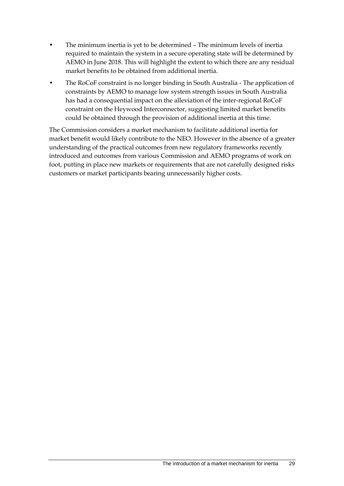- The minimum inertia is yet to be determined The minimum levels of inertia required to maintain the system in a secure operating state will be determined by AEMO in June 2018. This will highlight the extent to which there are any residual market benefits to be obtained from additional inertia.
- The RoCoF constraint is no longer binding in South Australia The application of constraints by AEMO to manage low system strength issues in South Australia has had a consequential impact on the alleviation of the inter-regional RoCoF constraint on the Heywood Interconnector, suggesting limited market benefits could be obtained through the provision of additional inertia at this time.

The Commission considers a market mechanism to facilitate additional inertia for market benefit would likely contribute to the NEO. However in the absence of a greater understanding of the practical outcomes from new regulatory frameworks recently introduced and outcomes from various Commission and AEMO programs of work on foot, putting in place new markets or requirements that are not carefully designed risks customers or market participants bearing unnecessarily higher costs.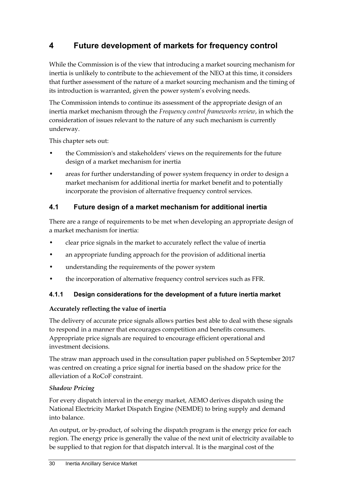# <span id="page-35-0"></span>**4 Future development of markets for frequency control**

While the Commission is of the view that introducing a market sourcing mechanism for inertia is unlikely to contribute to the achievement of the NEO at this time, it considers that further assessment of the nature of a market sourcing mechanism and the timing of its introduction is warranted, given the power system's evolving needs.

The Commission intends to continue its assessment of the appropriate design of an inertia market mechanism through the *Frequency control frameworks review*, in which the consideration of issues relevant to the nature of any such mechanism is currently underway.

This chapter sets out:

- the Commission's and stakeholders' views on the requirements for the future design of a market mechanism for inertia
- areas for further understanding of power system frequency in order to design a market mechanism for additional inertia for market benefit and to potentially incorporate the provision of alternative frequency control services.

## <span id="page-35-1"></span>**4.1 Future design of a market mechanism for additional inertia**

There are a range of requirements to be met when developing an appropriate design of a market mechanism for inertia:

- clear price signals in the market to accurately reflect the value of inertia
- an appropriate funding approach for the provision of additional inertia
- understanding the requirements of the power system
- the incorporation of alternative frequency control services such as FFR.

## **4.1.1 Design considerations for the development of a future inertia market**

### **Accurately reflecting the value of inertia**

The delivery of accurate price signals allows parties best able to deal with these signals to respond in a manner that encourages competition and benefits consumers. Appropriate price signals are required to encourage efficient operational and investment decisions.

The straw man approach used in the consultation paper published on 5 September 2017 was centred on creating a price signal for inertia based on the shadow price for the alleviation of a RoCoF constraint.

### *Shadow Pricing*

For every dispatch interval in the energy market, AEMO derives dispatch using the National Electricity Market Dispatch Engine (NEMDE) to bring supply and demand into balance.

An output, or by-product, of solving the dispatch program is the energy price for each region. The energy price is generally the value of the next unit of electricity available to be supplied to that region for that dispatch interval. It is the marginal cost of the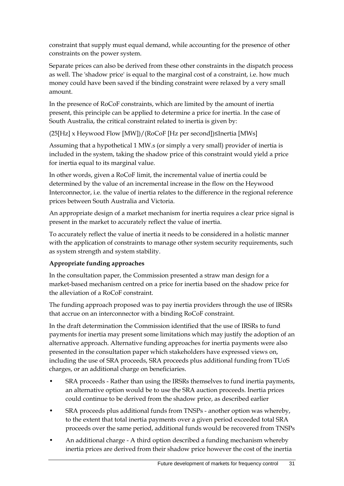constraint that supply must equal demand, while accounting for the presence of other constraints on the power system.

Separate prices can also be derived from these other constraints in the dispatch process as well. The 'shadow price' is equal to the marginal cost of a constraint, i.e. how much money could have been saved if the binding constraint were relaxed by a very small amount.

In the presence of RoCoF constraints, which are limited by the amount of inertia present, this principle can be applied to determine a price for inertia. In the case of South Australia, the critical constraint related to inertia is given by:

(25[Hz] x Heywood Flow [MW])/(RoCoF [Hz per second])≤Inertia [MWs]

Assuming that a hypothetical 1 MW.s (or simply a very small) provider of inertia is included in the system, taking the shadow price of this constraint would yield a price for inertia equal to its marginal value.

In other words, given a RoCoF limit, the incremental value of inertia could be determined by the value of an incremental increase in the flow on the Heywood Interconnector, i.e. the value of inertia relates to the difference in the regional reference prices between South Australia and Victoria.

An appropriate design of a market mechanism for inertia requires a clear price signal is present in the market to accurately reflect the value of inertia.

To accurately reflect the value of inertia it needs to be considered in a holistic manner with the application of constraints to manage other system security requirements, such as system strength and system stability.

## **Appropriate funding approaches**

In the consultation paper, the Commission presented a straw man design for a market-based mechanism centred on a price for inertia based on the shadow price for the alleviation of a RoCoF constraint.

The funding approach proposed was to pay inertia providers through the use of IRSRs that accrue on an interconnector with a binding RoCoF constraint.

In the draft determination the Commission identified that the use of IRSRs to fund payments for inertia may present some limitations which may justify the adoption of an alternative approach. Alternative funding approaches for inertia payments were also presented in the consultation paper which stakeholders have expressed views on, including the use of SRA proceeds, SRA proceeds plus additional funding from TUoS charges, or an additional charge on beneficiaries.

- SRA proceeds Rather than using the IRSRs themselves to fund inertia payments, an alternative option would be to use the SRA auction proceeds. Inertia prices could continue to be derived from the shadow price, as described earlier
- SRA proceeds plus additional funds from TNSPs another option was whereby, to the extent that total inertia payments over a given period exceeded total SRA proceeds over the same period, additional funds would be recovered from TNSPs
- An additional charge A third option described a funding mechanism whereby inertia prices are derived from their shadow price however the cost of the inertia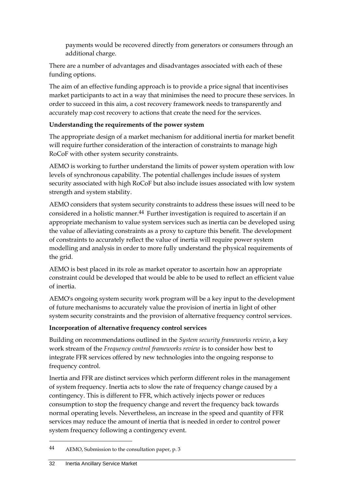payments would be recovered directly from generators or consumers through an additional charge.

There are a number of advantages and disadvantages associated with each of these funding options.

The aim of an effective funding approach is to provide a price signal that incentivises market participants to act in a way that minimises the need to procure these services. In order to succeed in this aim, a cost recovery framework needs to transparently and accurately map cost recovery to actions that create the need for the services.

#### **Understanding the requirements of the power system**

The appropriate design of a market mechanism for additional inertia for market benefit will require further consideration of the interaction of constraints to manage high RoCoF with other system security constraints.

AEMO is working to further understand the limits of power system operation with low levels of synchronous capability. The potential challenges include issues of system security associated with high RoCoF but also include issues associated with low system strength and system stability.

AEMO considers that system security constraints to address these issues will need to be considered in a holistic manner.<sup>44</sup> Further investigation is required to ascertain if an appropriate mechanism to value system services such as inertia can be developed using the value of alleviating constraints as a proxy to capture this benefit. The development of constraints to accurately reflect the value of inertia will require power system modelling and analysis in order to more fully understand the physical requirements of the grid.

AEMO is best placed in its role as market operator to ascertain how an appropriate constraint could be developed that would be able to be used to reflect an efficient value of inertia.

AEMO's ongoing system security work program will be a key input to the development of future mechanisms to accurately value the provision of inertia in light of other system security constraints and the provision of alternative frequency control services.

#### **Incorporation of alternative frequency control services**

Building on recommendations outlined in the *System security frameworks review*, a key work stream of the *Frequency control frameworks review* is to consider how best to integrate FFR services offered by new technologies into the ongoing response to frequency control.

Inertia and FFR are distinct services which perform different roles in the management of system frequency. Inertia acts to slow the rate of frequency change caused by a contingency. This is different to FFR, which actively injects power or reduces consumption to stop the frequency change and revert the frequency back towards normal operating levels. Nevertheless, an increase in the speed and quantity of FFR services may reduce the amount of inertia that is needed in order to control power system frequency following a contingency event.

<sup>44</sup> AEMO, Submission to the consultation paper, p. 3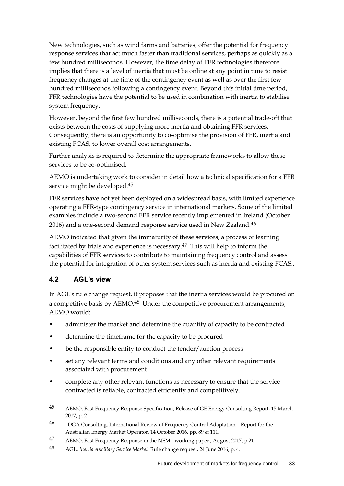New technologies, such as wind farms and batteries, offer the potential for frequency response services that act much faster than traditional services, perhaps as quickly as a few hundred milliseconds. However, the time delay of FFR technologies therefore implies that there is a level of inertia that must be online at any point in time to resist frequency changes at the time of the contingency event as well as over the first few hundred milliseconds following a contingency event. Beyond this initial time period, FFR technologies have the potential to be used in combination with inertia to stabilise system frequency.

However, beyond the first few hundred milliseconds, there is a potential trade-off that exists between the costs of supplying more inertia and obtaining FFR services. Consequently, there is an opportunity to co-optimise the provision of FFR, inertia and existing FCAS, to lower overall cost arrangements.

Further analysis is required to determine the appropriate frameworks to allow these services to be co-optimised.

AEMO is undertaking work to consider in detail how a technical specification for a FFR service might be developed.45

FFR services have not yet been deployed on a widespread basis, with limited experience operating a FFR-type contingency service in international markets. Some of the limited examples include a two-second FFR service recently implemented in Ireland (October 2016) and a one-second demand response service used in New Zealand.<sup>46</sup>

AEMO indicated that given the immaturity of these services, a process of learning facilitated by trials and experience is necessary.<sup>47</sup> This will help to inform the capabilities of FFR services to contribute to maintaining frequency control and assess the potential for integration of other system services such as inertia and existing FCAS..

## <span id="page-38-0"></span>**4.2 AGL's view**

<u>.</u>

In AGL's rule change request, it proposes that the inertia services would be procured on a competitive basis by AEMO.<sup>48</sup> Under the competitive procurement arrangements, AEMO would:

- administer the market and determine the quantity of capacity to be contracted
- determine the timeframe for the capacity to be procured
- be the responsible entity to conduct the tender/auction process
- set any relevant terms and conditions and any other relevant requirements associated with procurement
- complete any other relevant functions as necessary to ensure that the service contracted is reliable, contracted efficiently and competitively.

<sup>45</sup> AEMO, Fast Frequency Response Specification, Release of GE Energy Consulting Report, 15 March 2017, p. 2

<sup>46</sup> DGA Consulting, International Review of Frequency Control Adaptation – Report for the Australian Energy Market Operator, 14 October 2016, pp. 89 & 111.

<sup>47</sup> AEMO, Fast Frequency Response in the NEM - working paper , August 2017, p.21

<sup>48</sup> AGL, *Inertia Ancillary Service Market,* Rule change request, 24 June 2016, p. 4.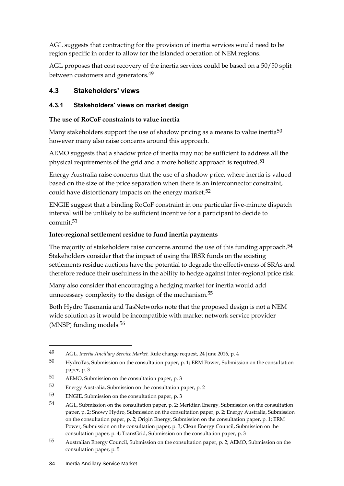AGL suggests that contracting for the provision of inertia services would need to be region specific in order to allow for the islanded operation of NEM regions.

AGL proposes that cost recovery of the inertia services could be based on a 50/50 split between customers and generators.49

## <span id="page-39-0"></span>**4.3 Stakeholders' views**

#### **4.3.1 Stakeholders' views on market design**

#### **The use of RoCoF constraints to value inertia**

Many stakeholders support the use of shadow pricing as a means to value inertia<sup>50</sup> however many also raise concerns around this approach.

AEMO suggests that a shadow price of inertia may not be sufficient to address all the physical requirements of the grid and a more holistic approach is required.<sup>51</sup>

Energy Australia raise concerns that the use of a shadow price, where inertia is valued based on the size of the price separation when there is an interconnector constraint, could have distortionary impacts on the energy market.<sup>52</sup>

ENGIE suggest that a binding RoCoF constraint in one particular five-minute dispatch interval will be unlikely to be sufficient incentive for a participant to decide to commit.53

#### **Inter-regional settlement residue to fund inertia payments**

The majority of stakeholders raise concerns around the use of this funding approach.<sup>54</sup> Stakeholders consider that the impact of using the IRSR funds on the existing settlements residue auctions have the potential to degrade the effectiveness of SRAs and therefore reduce their usefulness in the ability to hedge against inter-regional price risk.

Many also consider that encouraging a hedging market for inertia would add unnecessary complexity to the design of the mechanism.<sup>55</sup>

Both Hydro Tasmania and TasNetworks note that the proposed design is not a NEM wide solution as it would be incompatible with market network service provider (MNSP) funding models.56

<sup>49</sup> AGL, *Inertia Ancillary Service Market,* Rule change request, 24 June 2016, p. 4

<sup>50</sup> HydroTas, Submission on the consultation paper, p. 1; ERM Power, Submission on the consultation paper, p. 3

<sup>51</sup> AEMO, Submission on the consultation paper, p. 3

<sup>52</sup> Energy Australia, Submission on the consultation paper, p. 2

<sup>53</sup> ENGIE, Submission on the consultation paper, p. 3

<sup>54</sup> AGL, Submission on the consultation paper, p. 2; Meridian Energy, Submission on the consultation paper, p. 2; Snowy Hydro, Submission on the consultation paper, p. 2; Energy Australia, Submission on the consultation paper, p. 2; Origin Energy, Submission on the consultation paper, p. 1; ERM Power, Submission on the consultation paper, p. 3; Clean Energy Council, Submission on the consultation paper, p. 4; TransGrid, Submission on the consultation paper, p. 3

<sup>55</sup> Australian Energy Council, Submission on the consultation paper, p. 2; AEMO, Submission on the consultation paper, p. 5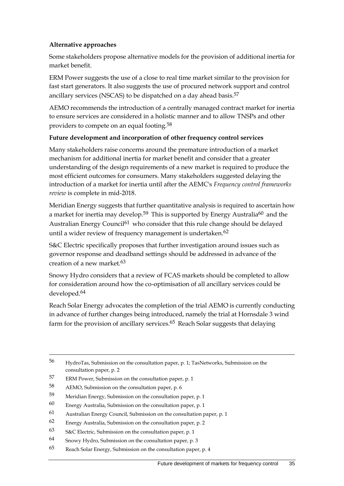#### **Alternative approaches**

Some stakeholders propose alternative models for the provision of additional inertia for market benefit.

ERM Power suggests the use of a close to real time market similar to the provision for fast start generators. It also suggests the use of procured network support and control ancillary services (NSCAS) to be dispatched on a day ahead basis.<sup>57</sup>

AEMO recommends the introduction of a centrally managed contract market for inertia to ensure services are considered in a holistic manner and to allow TNSPs and other providers to compete on an equal footing.58

#### **Future development and incorporation of other frequency control services**

Many stakeholders raise concerns around the premature introduction of a market mechanism for additional inertia for market benefit and consider that a greater understanding of the design requirements of a new market is required to produce the most efficient outcomes for consumers. Many stakeholders suggested delaying the introduction of a market for inertia until after the AEMC's *Frequency control frameworks review* is complete in mid-2018.

Meridian Energy suggests that further quantitative analysis is required to ascertain how a market for inertia may develop.<sup>59</sup> This is supported by Energy Australia<sup>60</sup> and the Australian Energy Council<sup>61</sup> who consider that this rule change should be delayed until a wider review of frequency management is undertaken.<sup>62</sup>

S&C Electric specifically proposes that further investigation around issues such as governor response and deadband settings should be addressed in advance of the creation of a new market.63

Snowy Hydro considers that a review of FCAS markets should be completed to allow for consideration around how the co-optimisation of all ancillary services could be developed.64

Reach Solar Energy advocates the completion of the trial AEMO is currently conducting in advance of further changes being introduced, namely the trial at Hornsdale 3 wind farm for the provision of ancillary services.<sup>65</sup> Reach Solar suggests that delaying

56 HydroTas, Submission on the consultation paper, p. 1; TasNetworks, Submission on the consultation paper, p. 2

<sup>57</sup> ERM Power, Submission on the consultation paper, p. 1

<sup>58</sup> AEMO, Submission on the consultation paper, p. 6

<sup>59</sup> Meridian Energy, Submission on the consultation paper, p. 1

<sup>60</sup> Energy Australia, Submission on the consultation paper, p. 1

<sup>61</sup> Australian Energy Council, Submission on the consultation paper, p. 1

<sup>62</sup> Energy Australia, Submission on the consultation paper, p. 2

<sup>63</sup> S&C Electric, Submission on the consultation paper, p. 1

<sup>64</sup> Snowy Hydro, Submission on the consultation paper, p. 3

<sup>65</sup> Reach Solar Energy, Submission on the consultation paper, p. 4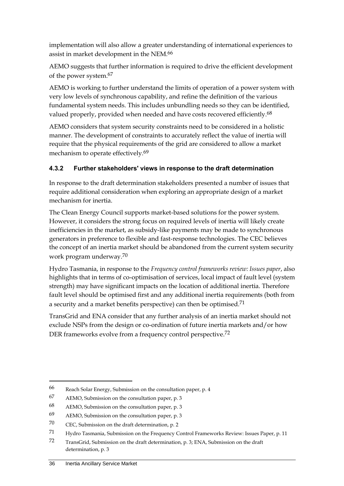implementation will also allow a greater understanding of international experiences to assist in market development in the NEM.66

AEMO suggests that further information is required to drive the efficient development of the power system.67

AEMO is working to further understand the limits of operation of a power system with very low levels of synchronous capability, and refine the definition of the various fundamental system needs. This includes unbundling needs so they can be identified, valued properly, provided when needed and have costs recovered efficiently.<sup>68</sup>

AEMO considers that system security constraints need to be considered in a holistic manner. The development of constraints to accurately reflect the value of inertia will require that the physical requirements of the grid are considered to allow a market mechanism to operate effectively.<sup>69</sup>

## **4.3.2 Further stakeholders' views in response to the draft determination**

In response to the draft determination stakeholders presented a number of issues that require additional consideration when exploring an appropriate design of a market mechanism for inertia.

The Clean Energy Council supports market-based solutions for the power system. However, it considers the strong focus on required levels of inertia will likely create inefficiencies in the market, as subsidy-like payments may be made to synchronous generators in preference to flexible and fast-response technologies. The CEC believes the concept of an inertia market should be abandoned from the current system security work program underway.70

Hydro Tasmania, in response to the *Frequency control frameworks review: Issues paper*, also highlights that in terms of co-optimisation of services, local impact of fault level (system strength) may have significant impacts on the location of additional inertia. Therefore fault level should be optimised first and any additional inertia requirements (both from a security and a market benefits perspective) can then be optimised.71

TransGrid and ENA consider that any further analysis of an inertia market should not exclude NSPs from the design or co-ordination of future inertia markets and/or how DER frameworks evolve from a frequency control perspective.<sup>72</sup>

<sup>66</sup> Reach Solar Energy, Submission on the consultation paper, p. 4

<sup>67</sup> AEMO, Submission on the consultation paper, p. 3

<sup>68</sup> AEMO, Submission on the consultation paper, p. 3

<sup>69</sup> AEMO, Submission on the consultation paper, p. 3

<sup>70</sup> CEC, Submission on the draft determination, p. 2

<sup>71</sup> Hydro Tasmania, Submission on the Frequency Control Frameworks Review: Issues Paper, p. 11

<sup>72</sup> TransGrid, Submission on the draft determination, p. 3; ENA, Submission on the draft determination, p. 3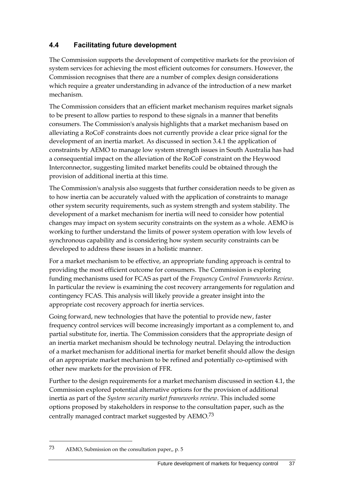## <span id="page-42-0"></span>**4.4 Facilitating future development**

The Commission supports the development of competitive markets for the provision of system services for achieving the most efficient outcomes for consumers. However, the Commission recognises that there are a number of complex design considerations which require a greater understanding in advance of the introduction of a new market mechanism.

The Commission considers that an efficient market mechanism requires market signals to be present to allow parties to respond to these signals in a manner that benefits consumers. The Commission's analysis highlights that a market mechanism based on alleviating a RoCoF constraints does not currently provide a clear price signal for the development of an inertia market. As discussed in section 3.4.1 the application of constraints by AEMO to manage low system strength issues in South Australia has had a consequential impact on the alleviation of the RoCoF constraint on the Heywood Interconnector, suggesting limited market benefits could be obtained through the provision of additional inertia at this time.

The Commission's analysis also suggests that further consideration needs to be given as to how inertia can be accurately valued with the application of constraints to manage other system security requirements, such as system strength and system stability. The development of a market mechanism for inertia will need to consider how potential changes may impact on system security constraints on the system as a whole. AEMO is working to further understand the limits of power system operation with low levels of synchronous capability and is considering how system security constraints can be developed to address these issues in a holistic manner.

For a market mechanism to be effective, an appropriate funding approach is central to providing the most efficient outcome for consumers. The Commission is exploring funding mechanisms used for FCAS as part of the *Frequency Control Frameworks Review*. In particular the review is examining the cost recovery arrangements for regulation and contingency FCAS. This analysis will likely provide a greater insight into the appropriate cost recovery approach for inertia services.

Going forward, new technologies that have the potential to provide new, faster frequency control services will become increasingly important as a complement to, and partial substitute for, inertia. The Commission considers that the appropriate design of an inertia market mechanism should be technology neutral. Delaying the introduction of a market mechanism for additional inertia for market benefit should allow the design of an appropriate market mechanism to be refined and potentially co-optimised with other new markets for the provision of FFR.

Further to the design requirements for a market mechanism discussed in section [4.1,](#page-35-1) the Commission explored potential alternative options for the provision of additional inertia as part of the *System security market frameworks review*. This included some options proposed by stakeholders in response to the consultation paper, such as the centrally managed contract market suggested by AEMO.73

<sup>73</sup> AEMO, Submission on the consultation paper,, p. 5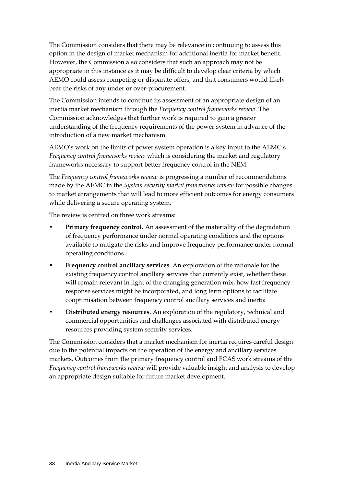The Commission considers that there may be relevance in continuing to assess this option in the design of market mechanism for additional inertia for market benefit. However, the Commission also considers that such an approach may not be appropriate in this instance as it may be difficult to develop clear criteria by which AEMO could assess competing or disparate offers, and that consumers would likely bear the risks of any under or over-procurement.

The Commission intends to continue its assessment of an appropriate design of an inertia market mechanism through the *Frequency control frameworks review*. The Commission acknowledges that further work is required to gain a greater understanding of the frequency requirements of the power system in advance of the introduction of a new market mechanism.

AEMO's work on the limits of power system operation is a key input to the AEMC's *Frequency control frameworks review* which is considering the market and regulatory frameworks necessary to support better frequency control in the NEM.

The *Frequency control frameworks review* is progressing a number of recommendations made by the AEMC in the *System security market frameworks review* for possible changes to market arrangements that will lead to more efficient outcomes for energy consumers while delivering a secure operating system.

The review is centred on three work streams:

- **Primary frequency control.** An assessment of the materiality of the degradation of frequency performance under normal operating conditions and the options available to mitigate the risks and improve frequency performance under normal operating conditions
- **Frequency control ancillary services**. An exploration of the rationale for the existing frequency control ancillary services that currently exist, whether these will remain relevant in light of the changing generation mix, how fast frequency response services might be incorporated, and long term options to facilitate cooptimisation between frequency control ancillary services and inertia
- **Distributed energy resources**. An exploration of the regulatory, technical and commercial opportunities and challenges associated with distributed energy resources providing system security services.

The Commission considers that a market mechanism for inertia requires careful design due to the potential impacts on the operation of the energy and ancillary services markets. Outcomes from the primary frequency control and FCAS work streams of the *Frequency control frameworks review* will provide valuable insight and analysis to develop an appropriate design suitable for future market development.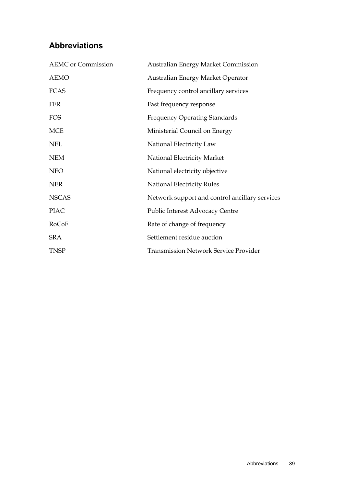# <span id="page-44-0"></span>**Abbreviations**

| <b>AEMC</b> or Commission | <b>Australian Energy Market Commission</b>     |
|---------------------------|------------------------------------------------|
| <b>AEMO</b>               | Australian Energy Market Operator              |
| <b>FCAS</b>               | Frequency control ancillary services           |
| <b>FFR</b>                | Fast frequency response                        |
| <b>FOS</b>                | <b>Frequency Operating Standards</b>           |
| <b>MCE</b>                | Ministerial Council on Energy                  |
| <b>NEL</b>                | National Electricity Law                       |
| <b>NEM</b>                | National Electricity Market                    |
| <b>NEO</b>                | National electricity objective                 |
| <b>NER</b>                | National Electricity Rules                     |
| <b>NSCAS</b>              | Network support and control ancillary services |
| <b>PIAC</b>               | Public Interest Advocacy Centre                |
| RoCoF                     | Rate of change of frequency                    |
| <b>SRA</b>                | Settlement residue auction                     |
| <b>TNSP</b>               | <b>Transmission Network Service Provider</b>   |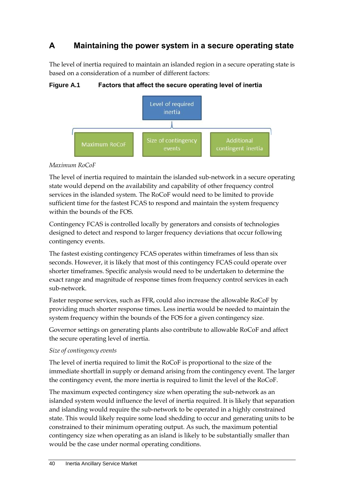# <span id="page-45-0"></span>**A Maintaining the power system in a secure operating state**

The level of inertia required to maintain an islanded region in a secure operating state is based on a consideration of a number of different factors:

**Figure A.1 Factors that affect the secure operating level of inertia**



## *Maximum RoCoF*

The level of inertia required to maintain the islanded sub-network in a secure operating state would depend on the availability and capability of other frequency control services in the islanded system. The RoCoF would need to be limited to provide sufficient time for the fastest FCAS to respond and maintain the system frequency within the bounds of the FOS.

Contingency FCAS is controlled locally by generators and consists of technologies designed to detect and respond to larger frequency deviations that occur following contingency events.

The fastest existing contingency FCAS operates within timeframes of less than six seconds. However, it is likely that most of this contingency FCAS could operate over shorter timeframes. Specific analysis would need to be undertaken to determine the exact range and magnitude of response times from frequency control services in each sub-network.

Faster response services, such as FFR, could also increase the allowable RoCoF by providing much shorter response times. Less inertia would be needed to maintain the system frequency within the bounds of the FOS for a given contingency size.

Governor settings on generating plants also contribute to allowable RoCoF and affect the secure operating level of inertia.

### *Size of contingency events*

The level of inertia required to limit the RoCoF is proportional to the size of the immediate shortfall in supply or demand arising from the contingency event. The larger the contingency event, the more inertia is required to limit the level of the RoCoF.

The maximum expected contingency size when operating the sub-network as an islanded system would influence the level of inertia required. It is likely that separation and islanding would require the sub-network to be operated in a highly constrained state. This would likely require some load shedding to occur and generating units to be constrained to their minimum operating output. As such, the maximum potential contingency size when operating as an island is likely to be substantially smaller than would be the case under normal operating conditions.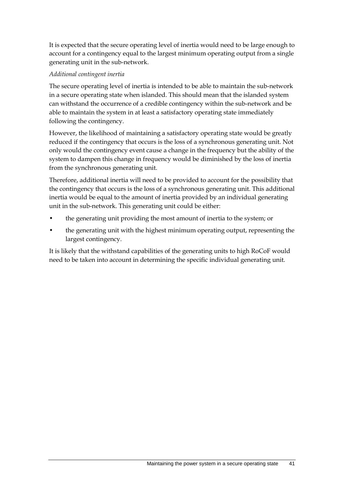It is expected that the secure operating level of inertia would need to be large enough to account for a contingency equal to the largest minimum operating output from a single generating unit in the sub-network.

### *Additional contingent inertia*

The secure operating level of inertia is intended to be able to maintain the sub-network in a secure operating state when islanded. This should mean that the islanded system can withstand the occurrence of a credible contingency within the sub-network and be able to maintain the system in at least a satisfactory operating state immediately following the contingency.

However, the likelihood of maintaining a satisfactory operating state would be greatly reduced if the contingency that occurs is the loss of a synchronous generating unit. Not only would the contingency event cause a change in the frequency but the ability of the system to dampen this change in frequency would be diminished by the loss of inertia from the synchronous generating unit.

Therefore, additional inertia will need to be provided to account for the possibility that the contingency that occurs is the loss of a synchronous generating unit. This additional inertia would be equal to the amount of inertia provided by an individual generating unit in the sub-network. This generating unit could be either:

- the generating unit providing the most amount of inertia to the system; or
- the generating unit with the highest minimum operating output, representing the largest contingency.

It is likely that the withstand capabilities of the generating units to high RoCoF would need to be taken into account in determining the specific individual generating unit.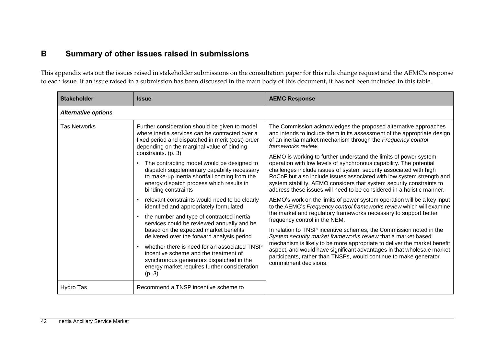# **B Summary of other issues raised in submissions**

This appendix sets out the issues raised in stakeholder submissions on the consultation paper for this rule change request and the AEMC's response to each issue. If an issue raised in a submission has been discussed in the main body of this document, it has not been included in this table.

<span id="page-47-0"></span>

| <b>Stakeholder</b>         | <b>Issue</b>                                                                                                                                                                                                                                                                                                                                                                                                                                                                                                                                                                                                                                                                                                                                                                                                                                                                                                             | <b>AEMC Response</b>                                                                                                                                                                                                                                                                                                                                                                                                                                                                                                                                                                                                                                                                                                                                                                                                                                                                                                                                                                                                                                                                                                                                                                                                                                                                                                        |
|----------------------------|--------------------------------------------------------------------------------------------------------------------------------------------------------------------------------------------------------------------------------------------------------------------------------------------------------------------------------------------------------------------------------------------------------------------------------------------------------------------------------------------------------------------------------------------------------------------------------------------------------------------------------------------------------------------------------------------------------------------------------------------------------------------------------------------------------------------------------------------------------------------------------------------------------------------------|-----------------------------------------------------------------------------------------------------------------------------------------------------------------------------------------------------------------------------------------------------------------------------------------------------------------------------------------------------------------------------------------------------------------------------------------------------------------------------------------------------------------------------------------------------------------------------------------------------------------------------------------------------------------------------------------------------------------------------------------------------------------------------------------------------------------------------------------------------------------------------------------------------------------------------------------------------------------------------------------------------------------------------------------------------------------------------------------------------------------------------------------------------------------------------------------------------------------------------------------------------------------------------------------------------------------------------|
| <b>Alternative options</b> |                                                                                                                                                                                                                                                                                                                                                                                                                                                                                                                                                                                                                                                                                                                                                                                                                                                                                                                          |                                                                                                                                                                                                                                                                                                                                                                                                                                                                                                                                                                                                                                                                                                                                                                                                                                                                                                                                                                                                                                                                                                                                                                                                                                                                                                                             |
| <b>Tas Networks</b>        | Further consideration should be given to model<br>where inertia services can be contracted over a<br>fixed period and dispatched in merit (cost) order<br>depending on the marginal value of binding<br>constraints. (p. 3)<br>The contracting model would be designed to<br>dispatch supplementary capability necessary<br>to make-up inertia shortfall coming from the<br>energy dispatch process which results in<br>binding constraints<br>relevant constraints would need to be clearly<br>identified and appropriately formulated<br>the number and type of contracted inertia<br>services could be reviewed annually and be<br>based on the expected market benefits<br>delivered over the forward analysis period<br>whether there is need for an associated TNSP<br>incentive scheme and the treatment of<br>synchronous generators dispatched in the<br>energy market requires further consideration<br>(p. 3) | The Commission acknowledges the proposed alternative approaches<br>and intends to include them in its assessment of the appropriate design<br>of an inertia market mechanism through the Frequency control<br>frameworks review.<br>AEMO is working to further understand the limits of power system<br>operation with low levels of synchronous capability. The potential<br>challenges include issues of system security associated with high<br>RoCoF but also include issues associated with low system strength and<br>system stability. AEMO considers that system security constraints to<br>address these issues will need to be considered in a holistic manner.<br>AEMO's work on the limits of power system operation will be a key input<br>to the AEMC's Frequency control frameworks review which will examine<br>the market and regulatory frameworks necessary to support better<br>frequency control in the NEM.<br>In relation to TNSP incentive schemes, the Commission noted in the<br>System security market frameworks review that a market based<br>mechanism is likely to be more appropriate to deliver the market benefit<br>aspect, and would have significant advantages in that wholesale market<br>participants, rather than TNSPs, would continue to make generator<br>commitment decisions. |
| Hydro Tas                  | Recommend a TNSP incentive scheme to                                                                                                                                                                                                                                                                                                                                                                                                                                                                                                                                                                                                                                                                                                                                                                                                                                                                                     |                                                                                                                                                                                                                                                                                                                                                                                                                                                                                                                                                                                                                                                                                                                                                                                                                                                                                                                                                                                                                                                                                                                                                                                                                                                                                                                             |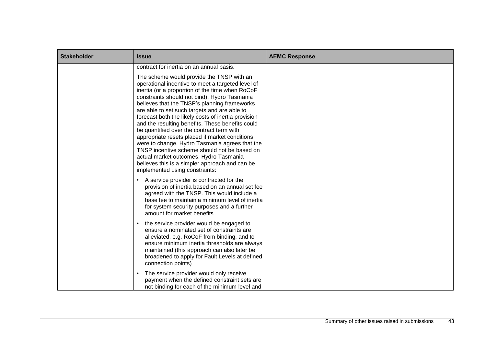| <b>Stakeholder</b> | <b>Issue</b>                                                                                                                                                                                                                                                                                                                                                                                                                                                                                                                                                                                                                                                                                                                                | <b>AEMC Response</b> |
|--------------------|---------------------------------------------------------------------------------------------------------------------------------------------------------------------------------------------------------------------------------------------------------------------------------------------------------------------------------------------------------------------------------------------------------------------------------------------------------------------------------------------------------------------------------------------------------------------------------------------------------------------------------------------------------------------------------------------------------------------------------------------|----------------------|
|                    | contract for inertia on an annual basis.                                                                                                                                                                                                                                                                                                                                                                                                                                                                                                                                                                                                                                                                                                    |                      |
|                    | The scheme would provide the TNSP with an<br>operational incentive to meet a targeted level of<br>inertia (or a proportion of the time when RoCoF<br>constraints should not bind). Hydro Tasmania<br>believes that the TNSP's planning frameworks<br>are able to set such targets and are able to<br>forecast both the likely costs of inertia provision<br>and the resulting benefits. These benefits could<br>be quantified over the contract term with<br>appropriate resets placed if market conditions<br>were to change. Hydro Tasmania agrees that the<br>TNSP incentive scheme should not be based on<br>actual market outcomes. Hydro Tasmania<br>believes this is a simpler approach and can be<br>implemented using constraints: |                      |
|                    | A service provider is contracted for the<br>provision of inertia based on an annual set fee<br>agreed with the TNSP. This would include a<br>base fee to maintain a minimum level of inertia<br>for system security purposes and a further<br>amount for market benefits                                                                                                                                                                                                                                                                                                                                                                                                                                                                    |                      |
|                    | the service provider would be engaged to<br>ensure a nominated set of constraints are<br>alleviated, e.g. RoCoF from binding, and to<br>ensure minimum inertia thresholds are always<br>maintained (this approach can also later be<br>broadened to apply for Fault Levels at defined<br>connection points)                                                                                                                                                                                                                                                                                                                                                                                                                                 |                      |
|                    | The service provider would only receive<br>payment when the defined constraint sets are<br>not binding for each of the minimum level and                                                                                                                                                                                                                                                                                                                                                                                                                                                                                                                                                                                                    |                      |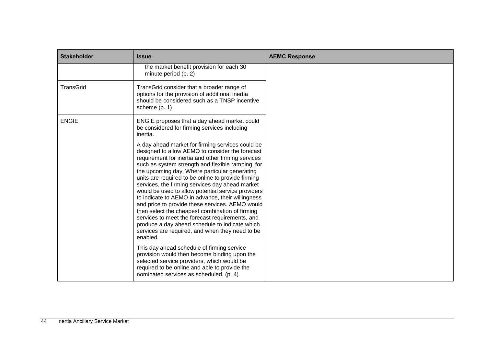| <b>Stakeholder</b> | <b>Issue</b>                                                                                                                                                                                                                                                                                                                                                                                                                                                                                                                                                                                                                                                                                                                                                  | <b>AEMC Response</b> |
|--------------------|---------------------------------------------------------------------------------------------------------------------------------------------------------------------------------------------------------------------------------------------------------------------------------------------------------------------------------------------------------------------------------------------------------------------------------------------------------------------------------------------------------------------------------------------------------------------------------------------------------------------------------------------------------------------------------------------------------------------------------------------------------------|----------------------|
|                    | the market benefit provision for each 30<br>minute period (p. 2)                                                                                                                                                                                                                                                                                                                                                                                                                                                                                                                                                                                                                                                                                              |                      |
| <b>TransGrid</b>   | TransGrid consider that a broader range of<br>options for the provision of additional inertia<br>should be considered such as a TNSP incentive<br>scheme $(p. 1)$                                                                                                                                                                                                                                                                                                                                                                                                                                                                                                                                                                                             |                      |
| <b>ENGIE</b>       | ENGIE proposes that a day ahead market could<br>be considered for firming services including<br>inertia.                                                                                                                                                                                                                                                                                                                                                                                                                                                                                                                                                                                                                                                      |                      |
|                    | A day ahead market for firming services could be<br>designed to allow AEMO to consider the forecast<br>requirement for inertia and other firming services<br>such as system strength and flexible ramping, for<br>the upcoming day. Where particular generating<br>units are required to be online to provide firming<br>services, the firming services day ahead market<br>would be used to allow potential service providers<br>to indicate to AEMO in advance, their willingness<br>and price to provide these services. AEMO would<br>then select the cheapest combination of firming<br>services to meet the forecast requirements, and<br>produce a day ahead schedule to indicate which<br>services are required, and when they need to be<br>enabled. |                      |
|                    | This day ahead schedule of firming service<br>provision would then become binding upon the<br>selected service providers, which would be<br>required to be online and able to provide the<br>nominated services as scheduled. (p. 4)                                                                                                                                                                                                                                                                                                                                                                                                                                                                                                                          |                      |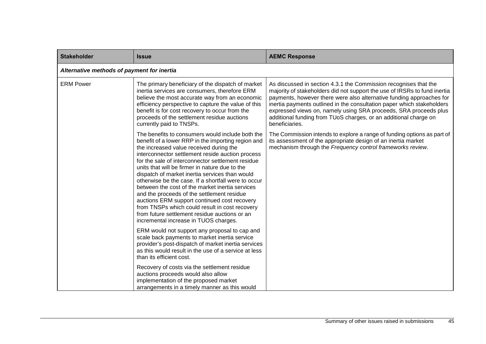| <b>Stakeholder</b> | <b>Issue</b>                                                                                                                                                                                                                                                                                                                                                                                                                                                                                                                                                                                                                                                                                                       | <b>AEMC Response</b>                                                                                                                                                                                                                                                                                                                                                                                                                                      |  |  |
|--------------------|--------------------------------------------------------------------------------------------------------------------------------------------------------------------------------------------------------------------------------------------------------------------------------------------------------------------------------------------------------------------------------------------------------------------------------------------------------------------------------------------------------------------------------------------------------------------------------------------------------------------------------------------------------------------------------------------------------------------|-----------------------------------------------------------------------------------------------------------------------------------------------------------------------------------------------------------------------------------------------------------------------------------------------------------------------------------------------------------------------------------------------------------------------------------------------------------|--|--|
|                    | Alternative methods of payment for inertia                                                                                                                                                                                                                                                                                                                                                                                                                                                                                                                                                                                                                                                                         |                                                                                                                                                                                                                                                                                                                                                                                                                                                           |  |  |
| <b>ERM Power</b>   | The primary beneficiary of the dispatch of market<br>inertia services are consumers, therefore ERM<br>believe the most accurate way from an economic<br>efficiency perspective to capture the value of this<br>benefit is for cost recovery to occur from the<br>proceeds of the settlement residue auctions<br>currently paid to TNSPs.                                                                                                                                                                                                                                                                                                                                                                           | As discussed in section 4.3.1 the Commission recognises that the<br>majority of stakeholders did not support the use of IRSRs to fund inertia<br>payments, however there were also alternative funding approaches for<br>inertia payments outlined in the consultation paper which stakeholders<br>expressed views on, namely using SRA proceeds, SRA proceeds plus<br>additional funding from TUoS charges, or an additional charge on<br>beneficiaries. |  |  |
|                    | The benefits to consumers would include both the<br>benefit of a lower RRP in the importing region and<br>the increased value received during the<br>interconnector settlement reside auction process<br>for the sale of interconnector settlement residue<br>units that will be firmer in nature due to the<br>dispatch of market inertia services than would<br>otherwise be the case. If a shortfall were to occur<br>between the cost of the market inertia services<br>and the proceeds of the settlement residue<br>auctions ERM support continued cost recovery<br>from TNSPs which could result in cost recovery<br>from future settlement residue auctions or an<br>incremental increase in TUOS charges. | The Commission intends to explore a range of funding options as part of<br>its assessment of the appropriate design of an inertia market<br>mechanism through the Frequency control frameworks review.                                                                                                                                                                                                                                                    |  |  |
|                    | ERM would not support any proposal to cap and<br>scale back payments to market inertia service<br>provider's post-dispatch of market inertia services<br>as this would result in the use of a service at less<br>than its efficient cost.                                                                                                                                                                                                                                                                                                                                                                                                                                                                          |                                                                                                                                                                                                                                                                                                                                                                                                                                                           |  |  |
|                    | Recovery of costs via the settlement residue<br>auctions proceeds would also allow<br>implementation of the proposed market<br>arrangements in a timely manner as this would                                                                                                                                                                                                                                                                                                                                                                                                                                                                                                                                       |                                                                                                                                                                                                                                                                                                                                                                                                                                                           |  |  |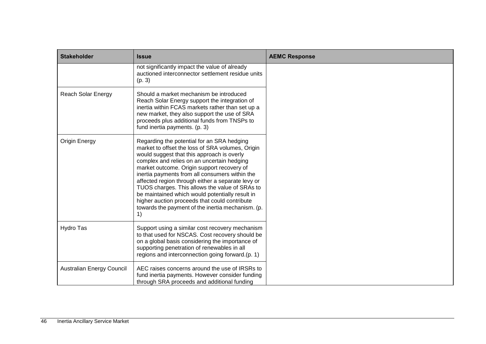| <b>Stakeholder</b>               | <b>Issue</b>                                                                                                                                                                                                                                                                                                                                                                                                                                                                                                                                                     | <b>AEMC Response</b> |
|----------------------------------|------------------------------------------------------------------------------------------------------------------------------------------------------------------------------------------------------------------------------------------------------------------------------------------------------------------------------------------------------------------------------------------------------------------------------------------------------------------------------------------------------------------------------------------------------------------|----------------------|
|                                  | not significantly impact the value of already<br>auctioned interconnector settlement residue units<br>(p. 3)                                                                                                                                                                                                                                                                                                                                                                                                                                                     |                      |
| <b>Reach Solar Energy</b>        | Should a market mechanism be introduced<br>Reach Solar Energy support the integration of<br>inertia within FCAS markets rather than set up a<br>new market, they also support the use of SRA<br>proceeds plus additional funds from TNSPs to<br>fund inertia payments. (p. 3)                                                                                                                                                                                                                                                                                    |                      |
| Origin Energy                    | Regarding the potential for an SRA hedging<br>market to offset the loss of SRA volumes, Origin<br>would suggest that this approach is overly<br>complex and relies on an uncertain hedging<br>market outcome. Origin support recovery of<br>inertia payments from all consumers within the<br>affected region through either a separate levy or<br>TUOS charges. This allows the value of SRAs to<br>be maintained which would potentially result in<br>higher auction proceeds that could contribute<br>towards the payment of the inertia mechanism. (p.<br>1) |                      |
| Hydro Tas                        | Support using a similar cost recovery mechanism<br>to that used for NSCAS. Cost recovery should be<br>on a global basis considering the importance of<br>supporting penetration of renewables in all<br>regions and interconnection going forward.(p. 1)                                                                                                                                                                                                                                                                                                         |                      |
| <b>Australian Energy Council</b> | AEC raises concerns around the use of IRSRs to<br>fund inertia payments. However consider funding<br>through SRA proceeds and additional funding                                                                                                                                                                                                                                                                                                                                                                                                                 |                      |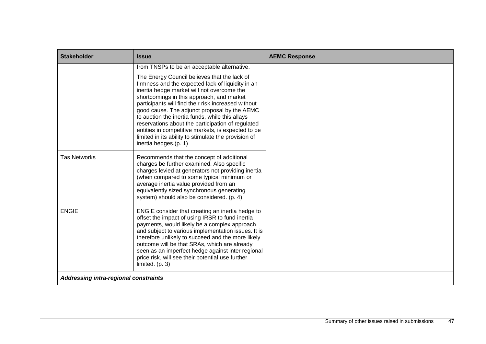| <b>Stakeholder</b>                    | <b>Issue</b>                                                                                                                                                                                                                                                                                                                                                                                                                                                                                                                                       | <b>AEMC Response</b> |
|---------------------------------------|----------------------------------------------------------------------------------------------------------------------------------------------------------------------------------------------------------------------------------------------------------------------------------------------------------------------------------------------------------------------------------------------------------------------------------------------------------------------------------------------------------------------------------------------------|----------------------|
|                                       | from TNSPs to be an acceptable alternative.                                                                                                                                                                                                                                                                                                                                                                                                                                                                                                        |                      |
|                                       | The Energy Council believes that the lack of<br>firmness and the expected lack of liquidity in an<br>inertia hedge market will not overcome the<br>shortcomings in this approach, and market<br>participants will find their risk increased without<br>good cause. The adjunct proposal by the AEMC<br>to auction the inertia funds, while this allays<br>reservations about the participation of regulated<br>entities in competitive markets, is expected to be<br>limited in its ability to stimulate the provision of<br>inertia hedges.(p. 1) |                      |
| <b>Tas Networks</b>                   | Recommends that the concept of additional<br>charges be further examined. Also specific<br>charges levied at generators not providing inertia<br>(when compared to some typical minimum or<br>average inertia value provided from an<br>equivalently sized synchronous generating<br>system) should also be considered. (p. 4)                                                                                                                                                                                                                     |                      |
| <b>ENGIE</b>                          | ENGIE consider that creating an inertia hedge to<br>offset the impact of using IRSR to fund inertia<br>payments, would likely be a complex approach<br>and subject to various implementation issues. It is<br>therefore unlikely to succeed and the more likely<br>outcome will be that SRAs, which are already<br>seen as an imperfect hedge against inter regional<br>price risk, will see their potential use further<br>limited. (p. 3)                                                                                                        |                      |
| Addressing intra-regional constraints |                                                                                                                                                                                                                                                                                                                                                                                                                                                                                                                                                    |                      |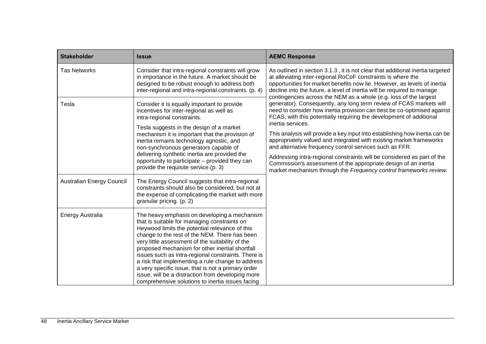| <b>Stakeholder</b>               | <b>Issue</b>                                                                                                                                                                                                                                                                                                                                                                                                                                                                                                                                                                      | <b>AEMC Response</b>                                                                                                                                                                                                                                                                                                                                                                                                                                                                                                                                                                                                                                                                                                                                |  |
|----------------------------------|-----------------------------------------------------------------------------------------------------------------------------------------------------------------------------------------------------------------------------------------------------------------------------------------------------------------------------------------------------------------------------------------------------------------------------------------------------------------------------------------------------------------------------------------------------------------------------------|-----------------------------------------------------------------------------------------------------------------------------------------------------------------------------------------------------------------------------------------------------------------------------------------------------------------------------------------------------------------------------------------------------------------------------------------------------------------------------------------------------------------------------------------------------------------------------------------------------------------------------------------------------------------------------------------------------------------------------------------------------|--|
| <b>Tas Networks</b>              | Consider that intra-regional constraints will grow<br>in importance in the future. A market should be<br>designed to be robust enough to address both<br>inter-regional and intra-regional constraints. (p. 4)                                                                                                                                                                                                                                                                                                                                                                    | As outlined in section 3.1.3, it is not clear that additional inertia targeted<br>at alleviating inter-regional RoCoF constraints is where the<br>opportunities for market benefits now lie. However, as levels of inertia<br>decline into the future, a level of inertia will be required to manage                                                                                                                                                                                                                                                                                                                                                                                                                                                |  |
| Tesla                            | Consider it is equally important to provide<br>incentives for inter-regional as well as<br>intra-regional constraints.<br>Tesla suggests in the design of a market<br>mechanism it is important that the provision of<br>inertia remains technology agnostic, and<br>non-synchronous generators capable of<br>delivering synthetic inertia are provided the<br>opportunity to participate - provided they can<br>provide the requisite service.(p. 3)                                                                                                                             | contingencies across the NEM as a whole (e.g. loss of the largest<br>generator). Consequently, any long term review of FCAS markets will<br>need to consider how inertia provision can best be co-optimised against<br>FCAS, with this potentially requiring the development of additional<br>inertia services.<br>This analysis will provide a key input into establishing how inertia can be<br>appropriately valued and integrated with existing market frameworks<br>and alternative frequency control services such as FFR.<br>Addressing intra-regional constraints will be considered as part of the<br>Commission's assessment of the appropriate design of an inertia<br>market mechanism through the Frequency control frameworks review. |  |
| <b>Australian Energy Council</b> | The Energy Council suggests that intra-regional<br>constraints should also be considered, but not at<br>the expense of complicating the market with more<br>granular pricing. (p. 2)                                                                                                                                                                                                                                                                                                                                                                                              |                                                                                                                                                                                                                                                                                                                                                                                                                                                                                                                                                                                                                                                                                                                                                     |  |
| <b>Energy Australia</b>          | The heavy emphasis on developing a mechanism<br>that is suitable for managing constraints on<br>Heywood limits the potential relevance of this<br>change to the rest of the NEM. There has been<br>very little assessment of the suitability of the<br>proposed mechanism for other inertial shortfall<br>issues such as intra-regional constraints. There is<br>a risk that implementing a rule change to address<br>a very specific issue, that is not a primary order<br>issue, will be a distraction from developing more<br>comprehensive solutions to inertia issues facing |                                                                                                                                                                                                                                                                                                                                                                                                                                                                                                                                                                                                                                                                                                                                                     |  |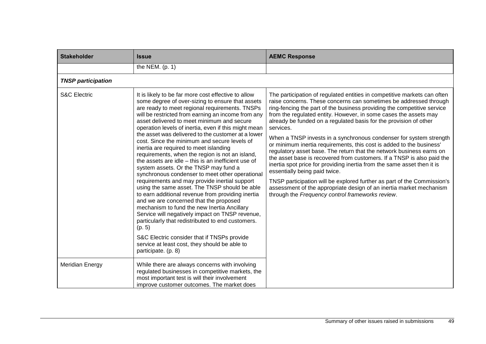| <b>Stakeholder</b>        | <b>Issue</b>                                                                                                                                                                                                                                                                                                                                                                                                                                                                                                                                                                                                                                                                                                                                                                                                                                                                                                                                                                                                                                                                                                                                                         | <b>AEMC Response</b>                                                                                                                                                                                                                                                                                                                                                                                                                                                                                                                                                                                                                                                                                                                                                                                                                                                                                                                                                                             |
|---------------------------|----------------------------------------------------------------------------------------------------------------------------------------------------------------------------------------------------------------------------------------------------------------------------------------------------------------------------------------------------------------------------------------------------------------------------------------------------------------------------------------------------------------------------------------------------------------------------------------------------------------------------------------------------------------------------------------------------------------------------------------------------------------------------------------------------------------------------------------------------------------------------------------------------------------------------------------------------------------------------------------------------------------------------------------------------------------------------------------------------------------------------------------------------------------------|--------------------------------------------------------------------------------------------------------------------------------------------------------------------------------------------------------------------------------------------------------------------------------------------------------------------------------------------------------------------------------------------------------------------------------------------------------------------------------------------------------------------------------------------------------------------------------------------------------------------------------------------------------------------------------------------------------------------------------------------------------------------------------------------------------------------------------------------------------------------------------------------------------------------------------------------------------------------------------------------------|
|                           | the NEM. $(p. 1)$                                                                                                                                                                                                                                                                                                                                                                                                                                                                                                                                                                                                                                                                                                                                                                                                                                                                                                                                                                                                                                                                                                                                                    |                                                                                                                                                                                                                                                                                                                                                                                                                                                                                                                                                                                                                                                                                                                                                                                                                                                                                                                                                                                                  |
| <b>TNSP participation</b> |                                                                                                                                                                                                                                                                                                                                                                                                                                                                                                                                                                                                                                                                                                                                                                                                                                                                                                                                                                                                                                                                                                                                                                      |                                                                                                                                                                                                                                                                                                                                                                                                                                                                                                                                                                                                                                                                                                                                                                                                                                                                                                                                                                                                  |
| <b>S&amp;C Electric</b>   | It is likely to be far more cost effective to allow<br>some degree of over-sizing to ensure that assets<br>are ready to meet regional requirements. TNSPs<br>will be restricted from earning an income from any<br>asset delivered to meet minimum and secure<br>operation levels of inertia, even if this might mean<br>the asset was delivered to the customer at a lower<br>cost. Since the minimum and secure levels of<br>inertia are required to meet islanding<br>requirements, when the region is not an island,<br>the assets are idle - this is an inefficient use of<br>system assets. Or the TNSP may fund a<br>synchronous condenser to meet other operational<br>requirements and may provide inertial support<br>using the same asset. The TNSP should be able<br>to earn additional revenue from providing inertia<br>and we are concerned that the proposed<br>mechanism to fund the new Inertia Ancillary<br>Service will negatively impact on TNSP revenue,<br>particularly that redistributed to end customers.<br>(p. 5)<br>S&C Electric consider that if TNSPs provide<br>service at least cost, they should be able to<br>participate. (p. 8) | The participation of regulated entities in competitive markets can often<br>raise concerns. These concerns can sometimes be addressed through<br>ring-fencing the part of the business providing the competitive service<br>from the regulated entity. However, in some cases the assets may<br>already be funded on a regulated basis for the provision of other<br>services.<br>When a TNSP invests in a synchronous condenser for system strength<br>or minimum inertia requirements, this cost is added to the business'<br>regulatory asset base. The return that the network business earns on<br>the asset base is recovered from customers. If a TNSP is also paid the<br>inertia spot price for providing inertia from the same asset then it is<br>essentially being paid twice.<br>TNSP participation will be explored further as part of the Commission's<br>assessment of the appropriate design of an inertia market mechanism<br>through the Frequency control frameworks review. |
| <b>Meridian Energy</b>    | While there are always concerns with involving<br>regulated businesses in competitive markets, the<br>most important test is will their involvement<br>improve customer outcomes. The market does                                                                                                                                                                                                                                                                                                                                                                                                                                                                                                                                                                                                                                                                                                                                                                                                                                                                                                                                                                    |                                                                                                                                                                                                                                                                                                                                                                                                                                                                                                                                                                                                                                                                                                                                                                                                                                                                                                                                                                                                  |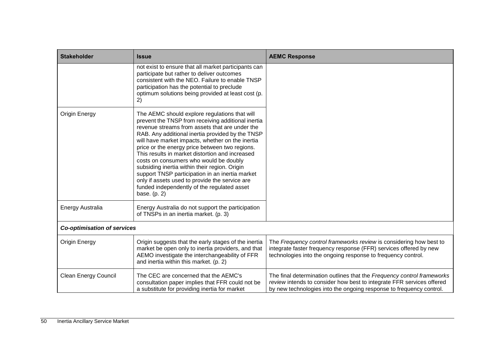| <b>Stakeholder</b>                 | <b>Issue</b>                                                                                                                                                                                                                                                                                                                                                                                                                                                                                                                                                                                                                        | <b>AEMC Response</b>                                                                                                                                                                                                   |
|------------------------------------|-------------------------------------------------------------------------------------------------------------------------------------------------------------------------------------------------------------------------------------------------------------------------------------------------------------------------------------------------------------------------------------------------------------------------------------------------------------------------------------------------------------------------------------------------------------------------------------------------------------------------------------|------------------------------------------------------------------------------------------------------------------------------------------------------------------------------------------------------------------------|
|                                    | not exist to ensure that all market participants can<br>participate but rather to deliver outcomes<br>consistent with the NEO. Failure to enable TNSP<br>participation has the potential to preclude<br>optimum solutions being provided at least cost (p.<br>2)                                                                                                                                                                                                                                                                                                                                                                    |                                                                                                                                                                                                                        |
| Origin Energy                      | The AEMC should explore regulations that will<br>prevent the TNSP from receiving additional inertia<br>revenue streams from assets that are under the<br>RAB. Any additional inertia provided by the TNSP<br>will have market impacts, whether on the inertia<br>price or the energy price between two regions.<br>This results in market distortion and increased<br>costs on consumers who would be doubly<br>subsiding inertia within their region. Origin<br>support TNSP participation in an inertia market<br>only if assets used to provide the service are<br>funded independently of the regulated asset<br>base. $(p. 2)$ |                                                                                                                                                                                                                        |
| <b>Energy Australia</b>            | Energy Australia do not support the participation<br>of TNSPs in an inertia market. (p. 3)                                                                                                                                                                                                                                                                                                                                                                                                                                                                                                                                          |                                                                                                                                                                                                                        |
| <b>Co-optimisation of services</b> |                                                                                                                                                                                                                                                                                                                                                                                                                                                                                                                                                                                                                                     |                                                                                                                                                                                                                        |
| Origin Energy                      | Origin suggests that the early stages of the inertia<br>market be open only to inertia providers, and that<br>AEMO investigate the interchangeability of FFR<br>and inertia within this market. (p. 2)                                                                                                                                                                                                                                                                                                                                                                                                                              | The Frequency control frameworks review is considering how best to<br>integrate faster frequency response (FFR) services offered by new<br>technologies into the ongoing response to frequency control.                |
| <b>Clean Energy Council</b>        | The CEC are concerned that the AEMC's<br>consultation paper implies that FFR could not be<br>a substitute for providing inertia for market                                                                                                                                                                                                                                                                                                                                                                                                                                                                                          | The final determination outlines that the Frequency control frameworks<br>review intends to consider how best to integrate FFR services offered<br>by new technologies into the ongoing response to frequency control. |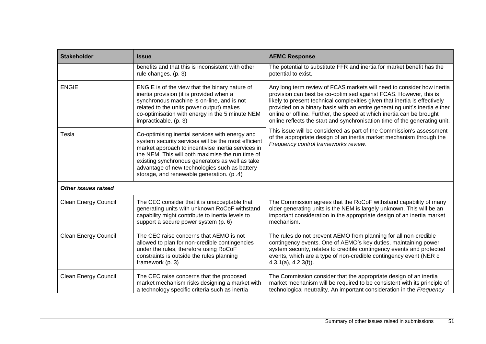| <b>Stakeholder</b>          | <b>Issue</b>                                                                                                                                                                                                                                                                                                                                                     | <b>AEMC Response</b>                                                                                                                                                                                                                                                                                                                                                                                                                                           |
|-----------------------------|------------------------------------------------------------------------------------------------------------------------------------------------------------------------------------------------------------------------------------------------------------------------------------------------------------------------------------------------------------------|----------------------------------------------------------------------------------------------------------------------------------------------------------------------------------------------------------------------------------------------------------------------------------------------------------------------------------------------------------------------------------------------------------------------------------------------------------------|
|                             | benefits and that this is inconsistent with other<br>rule changes. (p. 3)                                                                                                                                                                                                                                                                                        | The potential to substitute FFR and inertia for market benefit has the<br>potential to exist.                                                                                                                                                                                                                                                                                                                                                                  |
| <b>ENGIE</b>                | ENGIE is of the view that the binary nature of<br>inertia provision (it is provided when a<br>synchronous machine is on-line, and is not<br>related to the units power output) makes<br>co-optimisation with energy in the 5 minute NEM<br>impracticable. (p. 3)                                                                                                 | Any long term review of FCAS markets will need to consider how inertia<br>provision can best be co-optimised against FCAS. However, this is<br>likely to present technical complexities given that inertia is effectively<br>provided on a binary basis with an entire generating unit's inertia either<br>online or offline. Further, the speed at which inertia can be brought<br>online reflects the start and synchronisation time of the generating unit. |
| Tesla                       | Co-optimising inertial services with energy and<br>system security services will be the most efficient<br>market approach to incentivise inertia services in<br>the NEM. This will both maximise the run time of<br>existing synchronous generators as well as take<br>advantage of new technologies such as battery<br>storage, and renewable generation. (p.4) | This issue will be considered as part of the Commission's assessment<br>of the appropriate design of an inertia market mechanism through the<br>Frequency control frameworks review.                                                                                                                                                                                                                                                                           |
| <b>Other issues raised</b>  |                                                                                                                                                                                                                                                                                                                                                                  |                                                                                                                                                                                                                                                                                                                                                                                                                                                                |
| <b>Clean Energy Council</b> | The CEC consider that it is unacceptable that<br>generating units with unknown RoCoF withstand<br>capability might contribute to inertia levels to<br>support a secure power system (p. 6)                                                                                                                                                                       | The Commission agrees that the RoCoF withstand capability of many<br>older generating units is the NEM is largely unknown. This will be an<br>important consideration in the appropriate design of an inertia market<br>mechanism.                                                                                                                                                                                                                             |
| <b>Clean Energy Council</b> | The CEC raise concerns that AEMO is not<br>allowed to plan for non-credible contingencies<br>under the rules, therefore using RoCoF<br>constraints is outside the rules planning<br>framework (p. 3)                                                                                                                                                             | The rules do not prevent AEMO from planning for all non-credible<br>contingency events. One of AEMO's key duties, maintaining power<br>system security, relates to credible contingency events and protected<br>events, which are a type of non-credible contingency event (NER cl<br>4.3.1(a), 4.2.3(f).                                                                                                                                                      |
| <b>Clean Energy Council</b> | The CEC raise concerns that the proposed<br>market mechanism risks designing a market with<br>a technology specific criteria such as inertia                                                                                                                                                                                                                     | The Commission consider that the appropriate design of an inertia<br>market mechanism will be required to be consistent with its principle of<br>technological neutrality. An important consideration in the Frequency                                                                                                                                                                                                                                         |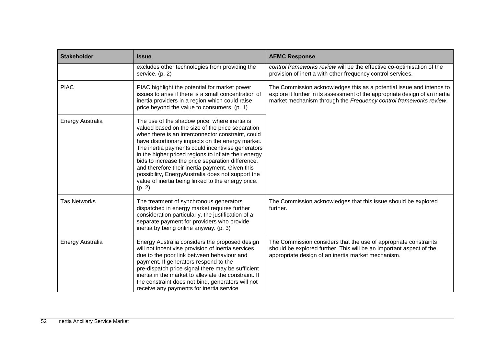| <b>Stakeholder</b>  | <b>Issue</b>                                                                                                                                                                                                                                                                                                                                                                                                                                                                                                                                         | <b>AEMC Response</b>                                                                                                                                                                                                      |
|---------------------|------------------------------------------------------------------------------------------------------------------------------------------------------------------------------------------------------------------------------------------------------------------------------------------------------------------------------------------------------------------------------------------------------------------------------------------------------------------------------------------------------------------------------------------------------|---------------------------------------------------------------------------------------------------------------------------------------------------------------------------------------------------------------------------|
|                     | excludes other technologies from providing the<br>service. (p. 2)                                                                                                                                                                                                                                                                                                                                                                                                                                                                                    | control frameworks review will be the effective co-optimisation of the<br>provision of inertia with other frequency control services.                                                                                     |
| <b>PIAC</b>         | PIAC highlight the potential for market power<br>issues to arise if there is a small concentration of<br>inertia providers in a region which could raise<br>price beyond the value to consumers. (p. 1)                                                                                                                                                                                                                                                                                                                                              | The Commission acknowledges this as a potential issue and intends to<br>explore it further in its assessment of the appropriate design of an inertia<br>market mechanism through the Frequency control frameworks review. |
| Energy Australia    | The use of the shadow price, where inertia is<br>valued based on the size of the price separation<br>when there is an interconnector constraint, could<br>have distortionary impacts on the energy market.<br>The inertia payments could incentivise generators<br>in the higher priced regions to inflate their energy<br>bids to increase the price separation difference,<br>and therefore their inertia payment. Given this<br>possibility, EnergyAustralia does not support the<br>value of inertia being linked to the energy price.<br>(p. 2) |                                                                                                                                                                                                                           |
| <b>Tas Networks</b> | The treatment of synchronous generators<br>dispatched in energy market requires further<br>consideration particularly, the justification of a<br>separate payment for providers who provide<br>inertia by being online anyway. (p. 3)                                                                                                                                                                                                                                                                                                                | The Commission acknowledges that this issue should be explored<br>further.                                                                                                                                                |
| Energy Australia    | Energy Australia considers the proposed design<br>will not incentivise provision of inertia services<br>due to the poor link between behaviour and<br>payment. If generators respond to the<br>pre-dispatch price signal there may be sufficient<br>inertia in the market to alleviate the constraint. If<br>the constraint does not bind, generators will not<br>receive any payments for inertia service                                                                                                                                           | The Commission considers that the use of appropriate constraints<br>should be explored further. This will be an important aspect of the<br>appropriate design of an inertia market mechanism.                             |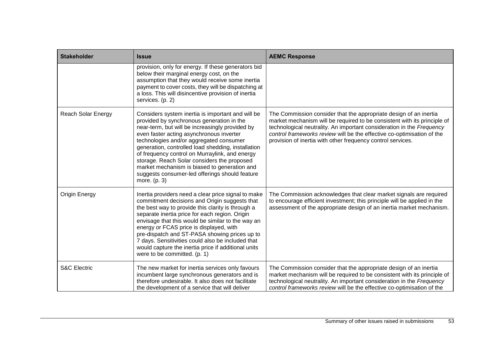| <b>Stakeholder</b>        | <b>Issue</b>                                                                                                                                                                                                                                                                                                                                                                                                                                                                                                      | <b>AEMC Response</b>                                                                                                                                                                                                                                                                                                                                            |
|---------------------------|-------------------------------------------------------------------------------------------------------------------------------------------------------------------------------------------------------------------------------------------------------------------------------------------------------------------------------------------------------------------------------------------------------------------------------------------------------------------------------------------------------------------|-----------------------------------------------------------------------------------------------------------------------------------------------------------------------------------------------------------------------------------------------------------------------------------------------------------------------------------------------------------------|
|                           | provision, only for energy. If these generators bid<br>below their marginal energy cost, on the<br>assumption that they would receive some inertia<br>payment to cover costs, they will be dispatching at<br>a loss. This will disincentive provision of inertia<br>services. (p. 2)                                                                                                                                                                                                                              |                                                                                                                                                                                                                                                                                                                                                                 |
| <b>Reach Solar Energy</b> | Considers system inertia is important and will be<br>provided by synchronous generation in the<br>near-term, but will be increasingly provided by<br>even faster acting asynchronous inverter<br>technologies and/or aggregated consumer<br>generation, controlled load shedding, installation<br>of frequency control on Murraylink, and energy<br>storage. Reach Solar considers the proposed<br>market mechanism is biased to generation and<br>suggests consumer-led offerings should feature<br>more. (p. 3) | The Commission consider that the appropriate design of an inertia<br>market mechanism will be required to be consistent with its principle of<br>technological neutrality. An important consideration in the Frequency<br>control frameworks review will be the effective co-optimisation of the<br>provision of inertia with other frequency control services. |
| Origin Energy             | Inertia providers need a clear price signal to make<br>commitment decisions and Origin suggests that<br>the best way to provide this clarity is through a<br>separate inertia price for each region. Origin<br>envisage that this would be similar to the way an<br>energy or FCAS price is displayed, with<br>pre-dispatch and ST-PASA showing prices up to<br>7 days. Sensitivities could also be included that<br>would capture the inertia price if additional units<br>were to be committed. (p. 1)          | The Commission acknowledges that clear market signals are required<br>to encourage efficient investment; this principle will be applied in the<br>assessment of the appropriate design of an inertia market mechanism.                                                                                                                                          |
| <b>S&amp;C Electric</b>   | The new market for inertia services only favours<br>incumbent large synchronous generators and is<br>therefore undesirable. It also does not facilitate<br>the development of a service that will deliver                                                                                                                                                                                                                                                                                                         | The Commission consider that the appropriate design of an inertia<br>market mechanism will be required to be consistent with its principle of<br>technological neutrality. An important consideration in the Frequency<br>control frameworks review will be the effective co-optimisation of the                                                                |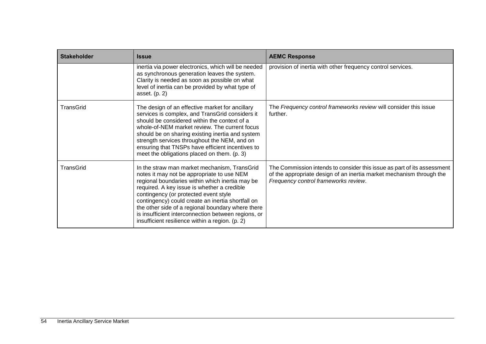| <b>Stakeholder</b> | Issue                                                                                                                                                                                                                                                                                                                                                                                                                                                     | <b>AEMC Response</b>                                                                                                                                                                    |
|--------------------|-----------------------------------------------------------------------------------------------------------------------------------------------------------------------------------------------------------------------------------------------------------------------------------------------------------------------------------------------------------------------------------------------------------------------------------------------------------|-----------------------------------------------------------------------------------------------------------------------------------------------------------------------------------------|
|                    | inertia via power electronics, which will be needed<br>as synchronous generation leaves the system.<br>Clarity is needed as soon as possible on what<br>level of inertia can be provided by what type of<br>asset. $(p. 2)$                                                                                                                                                                                                                               | provision of inertia with other frequency control services.                                                                                                                             |
| TransGrid          | The design of an effective market for ancillary<br>services is complex, and TransGrid considers it<br>should be considered within the context of a<br>whole-of-NEM market review. The current focus<br>should be on sharing existing inertia and system<br>strength services throughout the NEM, and on<br>ensuring that TNSPs have efficient incentives to<br>meet the obligations placed on them. (p. 3)                                                | The Frequency control frameworks review will consider this issue<br>further.                                                                                                            |
| TransGrid          | In the straw man market mechanism, TransGrid<br>notes it may not be appropriate to use NEM<br>regional boundaries within which inertia may be<br>required. A key issue is whether a credible<br>contingency (or protected event style<br>contingency) could create an inertia shortfall on<br>the other side of a regional boundary where there<br>is insufficient interconnection between regions, or<br>insufficient resilience within a region. (p. 2) | The Commission intends to consider this issue as part of its assessment<br>of the appropriate design of an inertia market mechanism through the<br>Frequency control frameworks review. |